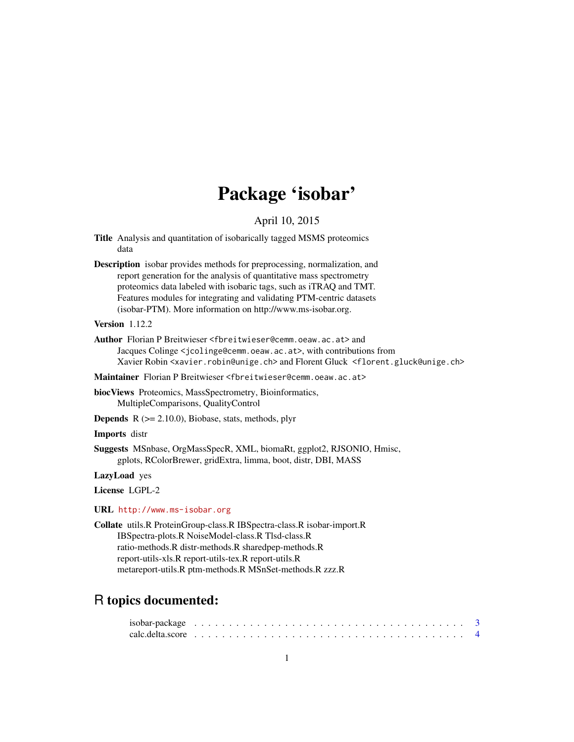# Package 'isobar'

## April 10, 2015

- <span id="page-0-0"></span>Title Analysis and quantitation of isobarically tagged MSMS proteomics data
- Description isobar provides methods for preprocessing, normalization, and report generation for the analysis of quantitative mass spectrometry proteomics data labeled with isobaric tags, such as iTRAQ and TMT. Features modules for integrating and validating PTM-centric datasets (isobar-PTM). More information on http://www.ms-isobar.org.
- Version 1.12.2
- Author Florian P Breitwieser <fbreitwieser@cemm.oeaw.ac.at> and Jacques Colinge <jcolinge@cemm.oeaw.ac.at>, with contributions from Xavier Robin <xavier.robin@unige.ch> and Florent Gluck <florent.gluck@unige.ch>
- Maintainer Florian P Breitwieser <fbreitwieser@cemm.oeaw.ac.at>
- biocViews Proteomics, MassSpectrometry, Bioinformatics, MultipleComparisons, QualityControl
- **Depends**  $R$  ( $>= 2.10.0$ ), Biobase, stats, methods, plyr

Imports distr

Suggests MSnbase, OrgMassSpecR, XML, biomaRt, ggplot2, RJSONIO, Hmisc, gplots, RColorBrewer, gridExtra, limma, boot, distr, DBI, MASS

LazyLoad yes

License LGPL-2

## URL <http://www.ms-isobar.org>

Collate utils.R ProteinGroup-class.R IBSpectra-class.R isobar-import.R IBSpectra-plots.R NoiseModel-class.R Tlsd-class.R ratio-methods.R distr-methods.R sharedpep-methods.R report-utils-xls.R report-utils-tex.R report-utils.R metareport-utils.R ptm-methods.R MSnSet-methods.R zzz.R

## R topics documented: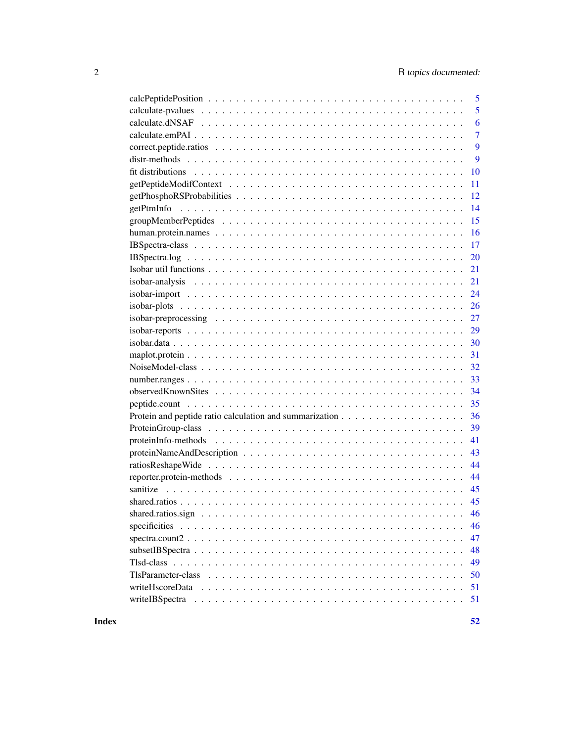|                                                                                                                           | 5              |
|---------------------------------------------------------------------------------------------------------------------------|----------------|
|                                                                                                                           | 5              |
|                                                                                                                           | 6              |
|                                                                                                                           | $\overline{7}$ |
|                                                                                                                           | 9              |
|                                                                                                                           | 9              |
|                                                                                                                           | 10             |
|                                                                                                                           | 11             |
|                                                                                                                           | 12             |
|                                                                                                                           | 14             |
|                                                                                                                           | 15             |
|                                                                                                                           | 16             |
|                                                                                                                           | 17             |
|                                                                                                                           | 20             |
|                                                                                                                           | 21             |
|                                                                                                                           | 21             |
| $isobar-import  \dots \dots \dots \dots \dots \dots \dots \dots \dots \dots \dots \dots \dots \dots$                      | 24             |
|                                                                                                                           | 26             |
|                                                                                                                           | 27             |
|                                                                                                                           | 29             |
| $isobar.data \dots \dots \dots \dots \dots \dots \dots \dots \dots \dots \dots \dots \dots \dots \dots \dots \dots \dots$ | 30             |
|                                                                                                                           | 31             |
|                                                                                                                           | 32             |
|                                                                                                                           | 33             |
|                                                                                                                           | 34             |
| 35                                                                                                                        |                |
|                                                                                                                           | 36             |
|                                                                                                                           | 39             |
|                                                                                                                           | 41             |
|                                                                                                                           | 43             |
|                                                                                                                           | 44             |
|                                                                                                                           | 44             |
|                                                                                                                           | 45             |
|                                                                                                                           | 45             |
|                                                                                                                           | 46             |
|                                                                                                                           | 46             |
| $spectra.count2$                                                                                                          | 47             |
|                                                                                                                           | 48             |
|                                                                                                                           | 49             |
|                                                                                                                           | 50             |
|                                                                                                                           | 51             |
|                                                                                                                           | 51             |
|                                                                                                                           |                |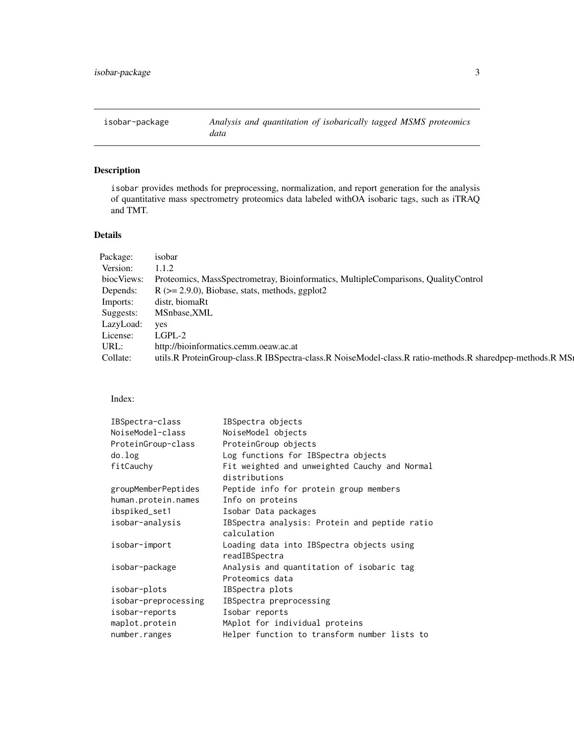<span id="page-2-0"></span>

## Description

isobar provides methods for preprocessing, normalization, and report generation for the analysis of quantitative mass spectrometry proteomics data labeled withOA isobaric tags, such as iTRAQ and TMT.

## Details

| Package:   | isobar                                                                                                   |
|------------|----------------------------------------------------------------------------------------------------------|
| Version:   | 1.1.2                                                                                                    |
| biocViews: | Proteomics, MassSpectrometray, Bioinformatics, MultipleComparisons, QualityControl                       |
| Depends:   | $R$ ( $>= 2.9.0$ ), Biobase, stats, methods, ggplot2                                                     |
| Imports:   | distr, biomaRt                                                                                           |
| Suggests:  | MSnbase, XML                                                                                             |
| LazyLoad:  | <b>ves</b>                                                                                               |
| License:   | LGPL-2                                                                                                   |
| URL:       | http://bioinformatics.cemm.oeaw.ac.at                                                                    |
| Collate:   | utils.R ProteinGroup-class.R IBSpectra-class.R NoiseModel-class.R ratio-methods.R sharedpep-methods.R MS |
|            |                                                                                                          |

Index:

| IBSpectra-class      | IBSpectra objects                             |
|----------------------|-----------------------------------------------|
| NoiseModel-class     | NoiseModel objects                            |
| ProteinGroup-class   | ProteinGroup objects                          |
| do.log               | Log functions for IBSpectra objects           |
| fitCauchy            | Fit weighted and unweighted Cauchy and Normal |
|                      | distributions                                 |
| groupMemberPeptides  | Peptide info for protein group members        |
| human.protein.names  | Info on proteins                              |
| ibspiked_set1        | Isobar Data packages                          |
| isobar-analysis      | IBSpectra analysis: Protein and peptide ratio |
|                      | calculation                                   |
| isobar-import        | Loading data into IBSpectra objects using     |
|                      | readIBSpectra                                 |
| isobar-package       | Analysis and quantitation of isobaric tag     |
|                      | Proteomics data                               |
| isobar-plots         | IBSpectra plots                               |
| isobar-preprocessing | IBSpectra preprocessing                       |
| isobar-reports       | Isobar reports                                |
| maplot.protein       | MAplot for individual proteins                |
| number.ranges        | Helper function to transform number lists to  |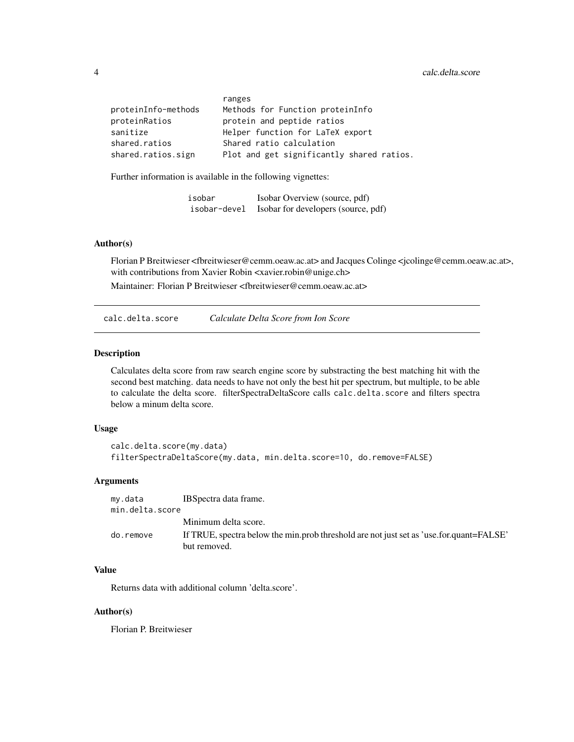<span id="page-3-0"></span>

|                     | ranges                                    |
|---------------------|-------------------------------------------|
| proteinInfo-methods | Methods for Function proteinInfo          |
| proteinRatios       | protein and peptide ratios                |
| sanitize            | Helper function for LaTeX export          |
| shared.ratios       | Shared ratio calculation                  |
| shared.ratios.sign  | Plot and get significantly shared ratios. |

Further information is available in the following vignettes:

| isobar       | Isobar Overview (source, pdf)       |
|--------------|-------------------------------------|
| isobar-devel | Isobar for developers (source, pdf) |

## Author(s)

Florian P Breitwieser <fbreitwieser@cemm.oeaw.ac.at> and Jacques Colinge <jcolinge@cemm.oeaw.ac.at>, with contributions from Xavier Robin <xavier.robin@unige.ch>

Maintainer: Florian P Breitwieser <fbreitwieser@cemm.oeaw.ac.at>

calc.delta.score *Calculate Delta Score from Ion Score*

#### Description

Calculates delta score from raw search engine score by substracting the best matching hit with the second best matching. data needs to have not only the best hit per spectrum, but multiple, to be able to calculate the delta score. filterSpectraDeltaScore calls calc.delta.score and filters spectra below a minum delta score.

#### Usage

```
calc.delta.score(my.data)
filterSpectraDeltaScore(my.data, min.delta.score=10, do.remove=FALSE)
```
## Arguments

| my.data         | IBS pectra data frame.                                                                                  |
|-----------------|---------------------------------------------------------------------------------------------------------|
| min.delta.score |                                                                                                         |
|                 | Minimum delta score.                                                                                    |
| do.remove       | If TRUE, spectra below the min.prob threshold are not just set as 'use.for.quant=FALSE'<br>but removed. |

## Value

Returns data with additional column 'delta.score'.

#### Author(s)

Florian P. Breitwieser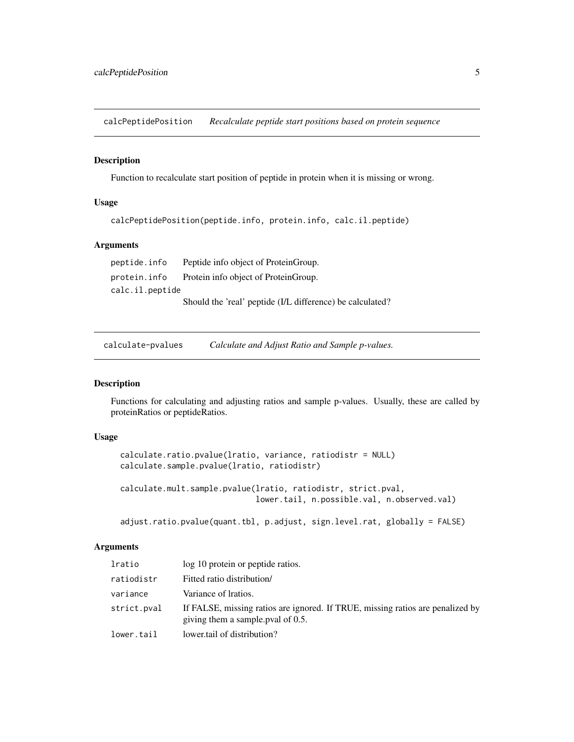<span id="page-4-0"></span>calcPeptidePosition *Recalculate peptide start positions based on protein sequence*

#### Description

Function to recalculate start position of peptide in protein when it is missing or wrong.

#### Usage

```
calcPeptidePosition(peptide.info, protein.info, calc.il.peptide)
```
#### Arguments

peptide.info Peptide info object of ProteinGroup. protein.info Protein info object of ProteinGroup. calc.il.peptide

Should the 'real' peptide (I/L difference) be calculated?

calculate-pvalues *Calculate and Adjust Ratio and Sample p-values.*

#### Description

Functions for calculating and adjusting ratios and sample p-values. Usually, these are called by proteinRatios or peptideRatios.

#### Usage

```
calculate.ratio.pvalue(lratio, variance, ratiodistr = NULL)
calculate.sample.pvalue(lratio, ratiodistr)
calculate.mult.sample.pvalue(lratio, ratiodistr, strict.pval,
                             lower.tail, n.possible.val, n.observed.val)
```
adjust.ratio.pvalue(quant.tbl, p.adjust, sign.level.rat, globally = FALSE)

## Arguments

| lratio      | log 10 protein or peptide ratios.                                                                                   |
|-------------|---------------------------------------------------------------------------------------------------------------------|
| ratiodistr  | Fitted ratio distribution/                                                                                          |
| variance    | Variance of Iratios.                                                                                                |
| strict.pval | If FALSE, missing ratios are ignored. If TRUE, missing ratios are penalized by<br>giving them a sample poul of 0.5. |
| lower.tail  | lower tail of distribution?                                                                                         |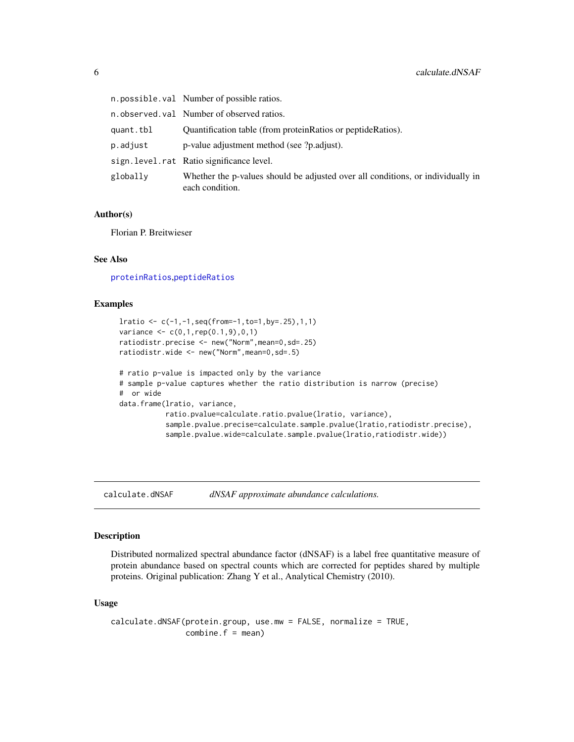<span id="page-5-0"></span>

|           | n.possible.val Number of possible ratios.                                                          |
|-----------|----------------------------------------------------------------------------------------------------|
|           | n.observed.val Number of observed ratios.                                                          |
| quant.tbl | Quantification table (from protein Ratios or peptide Ratios).                                      |
| p.adjust  | p-value adjustment method (see ?p.adjust).                                                         |
|           | sign.level.rat Ratio significance level.                                                           |
| globally  | Whether the p-values should be adjusted over all conditions, or individually in<br>each condition. |

#### Author(s)

Florian P. Breitwieser

#### See Also

[proteinRatios](#page-35-1),[peptideRatios](#page-35-1)

## Examples

```
lratio <- c(-1,-1,seq(from=-1,to=1,by=.25),1,1)
variance \leq c(0,1, rep(0.1,9),0,1)ratiodistr.precise <- new("Norm",mean=0,sd=.25)
ratiodistr.wide <- new("Norm",mean=0,sd=.5)
# ratio p-value is impacted only by the variance
# sample p-value captures whether the ratio distribution is narrow (precise)
# or wide
data.frame(lratio, variance,
           ratio.pvalue=calculate.ratio.pvalue(lratio, variance),
           sample.pvalue.precise=calculate.sample.pvalue(lratio,ratiodistr.precise),
           sample.pvalue.wide=calculate.sample.pvalue(lratio,ratiodistr.wide))
```
<span id="page-5-1"></span>calculate.dNSAF *dNSAF approximate abundance calculations.*

## Description

Distributed normalized spectral abundance factor (dNSAF) is a label free quantitative measure of protein abundance based on spectral counts which are corrected for peptides shared by multiple proteins. Original publication: Zhang Y et al., Analytical Chemistry (2010).

#### Usage

calculate.dNSAF(protein.group, use.mw = FALSE, normalize = TRUE,  $combine.f = mean)$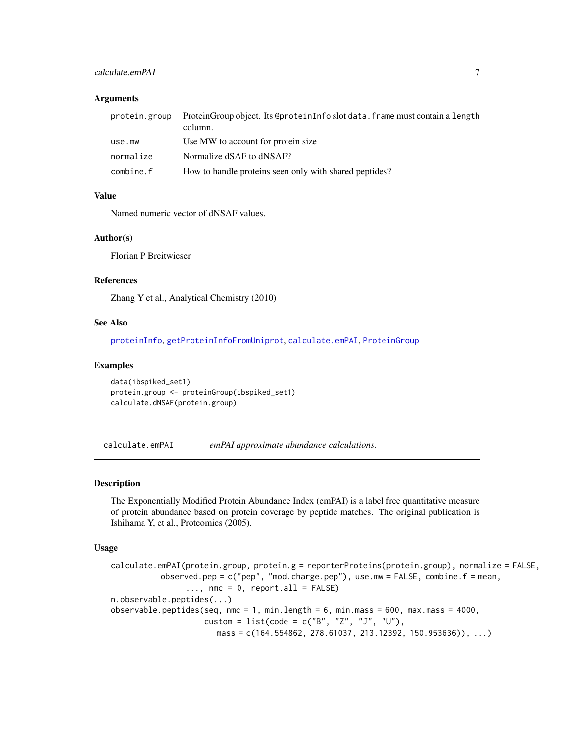## <span id="page-6-0"></span>calculate.emPAI 7

#### **Arguments**

|           | protein.group ProteinGroup object. Its @proteinInfo slot data.frame must contain a length<br>column. |
|-----------|------------------------------------------------------------------------------------------------------|
| use.mw    | Use MW to account for protein size                                                                   |
| normalize | Normalize dSAF to dNSAF?                                                                             |
| combine.f | How to handle proteins seen only with shared peptides?                                               |

## Value

Named numeric vector of dNSAF values.

## Author(s)

Florian P Breitwieser

## References

Zhang Y et al., Analytical Chemistry (2010)

## See Also

[proteinInfo](#page-40-1), [getProteinInfoFromUniprot](#page-40-1), [calculate.emPAI](#page-6-1), [ProteinGroup](#page-38-1)

#### Examples

```
data(ibspiked_set1)
protein.group <- proteinGroup(ibspiked_set1)
calculate.dNSAF(protein.group)
```
<span id="page-6-1"></span>calculate.emPAI *emPAI approximate abundance calculations.*

#### <span id="page-6-2"></span>Description

The Exponentially Modified Protein Abundance Index (emPAI) is a label free quantitative measure of protein abundance based on protein coverage by peptide matches. The original publication is Ishihama Y, et al., Proteomics (2005).

```
calculate.emPAI(protein.group, protein.g = reporterProteins(protein.group), normalize = FALSE,
           observed.pep = c("pep", "mod.charge.pep"), use.mw = FALSE, combine.f = mean,
                \ldots, nmc = 0, report.all = FALSE)
n.observable.peptides(...)
observable.peptides(seq, nmc = 1, min.length = 6, min.mass = 600, max.mass = 4000,
                    custom = list(code = c("B", "Z", "J", "U"),
                       mass = c(164.554862, 278.61037, 213.12392, 150.953636)), ...
```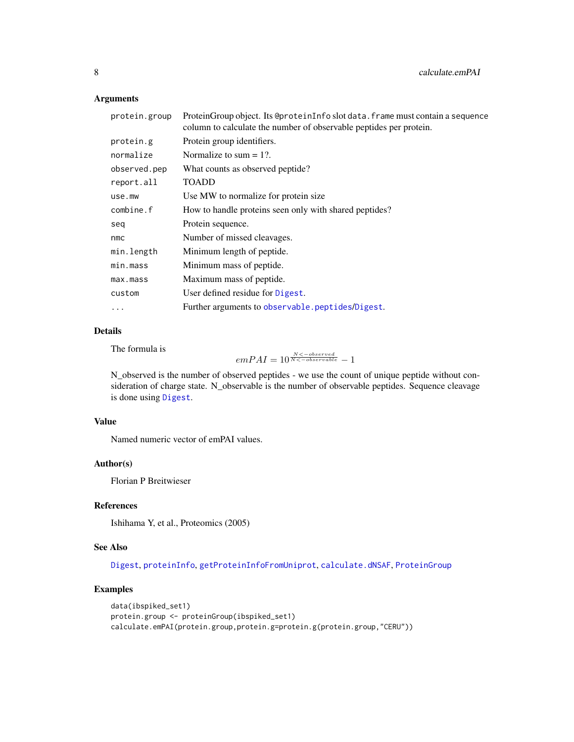## Arguments

| protein.group | ProteinGroup object. Its @proteinInfo slot data. frame must contain a sequence<br>column to calculate the number of observable peptides per protein. |
|---------------|------------------------------------------------------------------------------------------------------------------------------------------------------|
| protein.g     | Protein group identifiers.                                                                                                                           |
| normalize     | Normalize to sum $= 1$ ?.                                                                                                                            |
| observed.pep  | What counts as observed peptide?                                                                                                                     |
| report.all    | <b>TOADD</b>                                                                                                                                         |
| use.mw        | Use MW to normalize for protein size.                                                                                                                |
| combine.f     | How to handle proteins seen only with shared peptides?                                                                                               |
| seq           | Protein sequence.                                                                                                                                    |
| nmc           | Number of missed cleavages.                                                                                                                          |
| min.length    | Minimum length of peptide.                                                                                                                           |
| min.maxs      | Minimum mass of peptide.                                                                                                                             |
| max.mass      | Maximum mass of peptide.                                                                                                                             |
| custom        | User defined residue for Digest.                                                                                                                     |
| .             | Further arguments to observable.peptides/Digest.                                                                                                     |

## Details

The formula is

 $emPAI = 10^{\frac{N < - observed}{N < - observed}} - 1$ 

N\_observed is the number of observed peptides - we use the count of unique peptide without consideration of charge state. N\_observable is the number of observable peptides. Sequence cleavage is done using [Digest](#page-0-0).

## Value

Named numeric vector of emPAI values.

## Author(s)

Florian P Breitwieser

## References

Ishihama Y, et al., Proteomics (2005)

## See Also

[Digest](#page-0-0), [proteinInfo](#page-40-1), [getProteinInfoFromUniprot](#page-40-1), [calculate.dNSAF](#page-5-1), [ProteinGroup](#page-38-1)

## Examples

```
data(ibspiked_set1)
protein.group <- proteinGroup(ibspiked_set1)
calculate.emPAI(protein.group,protein.g=protein.g(protein.group,"CERU"))
```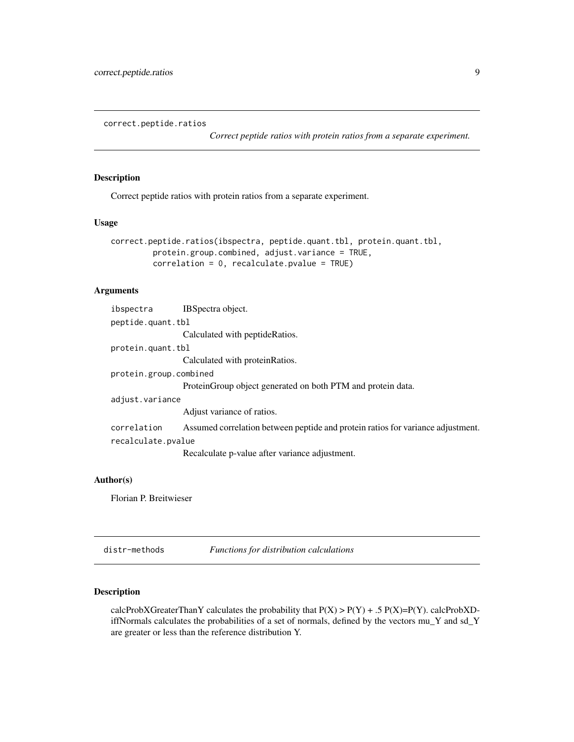<span id="page-8-0"></span>correct.peptide.ratios

*Correct peptide ratios with protein ratios from a separate experiment.*

## Description

Correct peptide ratios with protein ratios from a separate experiment.

## Usage

```
correct.peptide.ratios(ibspectra, peptide.quant.tbl, protein.quant.tbl,
         protein.group.combined, adjust.variance = TRUE,
         correlation = 0, recalculate.pvalue = TRUE)
```
## Arguments

| ibspectra              | IBSpectra object.                                                               |
|------------------------|---------------------------------------------------------------------------------|
| peptide.quant.tbl      |                                                                                 |
|                        | Calculated with peptide Ratios.                                                 |
| protein.quant.tbl      |                                                                                 |
|                        | Calculated with protein Ratios.                                                 |
| protein.group.combined |                                                                                 |
|                        | Protein Group object generated on both PTM and protein data.                    |
| adjust.variance        |                                                                                 |
|                        | Adjust variance of ratios.                                                      |
| correlation            | Assumed correlation between peptide and protein ratios for variance adjustment. |
| recalculate.pvalue     |                                                                                 |
|                        | Recalculate p-value after variance adjustment.                                  |

## Author(s)

Florian P. Breitwieser

distr-methods *Functions for distribution calculations*

#### Description

calcProbXGreaterThanY calculates the probability that  $P(X) > P(Y) + .5 P(X)=P(Y)$ . calcProbXDiffNormals calculates the probabilities of a set of normals, defined by the vectors mu\_Y and sd\_Y are greater or less than the reference distribution Y.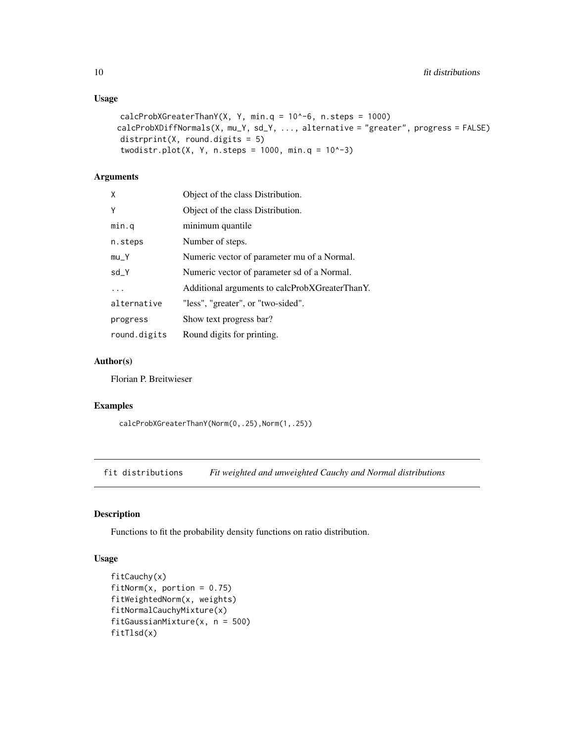## Usage

```
calcProbXGreaterThanY(X, Y, min.q = 10^{\circ}-6, n.steps = 1000)
calcProbXDiffNormals(X, mu_Y, sd_Y, ..., alternative = "greater", progress = FALSE)
distrprint(X, round.digits = 5)
twodistr.plot(X, Y, n.steps = 1000, min.q = 10^x-3)
```
## Arguments

| X            | Object of the class Distribution.              |
|--------------|------------------------------------------------|
| Y            | Object of the class Distribution.              |
| min.q        | minimum quantile                               |
| n.steps      | Number of steps.                               |
| $mu_Y$       | Numeric vector of parameter mu of a Normal.    |
| sd_Y         | Numeric vector of parameter sd of a Normal.    |
| .            | Additional arguments to calcProbXGreaterThanY. |
| alternative  | "less", "greater", or "two-sided".             |
| progress     | Show text progress bar?                        |
| round.digits | Round digits for printing.                     |

## Author(s)

Florian P. Breitwieser

#### Examples

calcProbXGreaterThanY(Norm(0,.25),Norm(1,.25))

fit distributions *Fit weighted and unweighted Cauchy and Normal distributions*

#### Description

Functions to fit the probability density functions on ratio distribution.

```
fitCauchy(x)
fitNorm(x, portion = 0.75)fitWeightedNorm(x, weights)
fitNormalCauchyMixture(x)
fitGaussianMixture(x, n = 500)
fitTlsd(x)
```
<span id="page-9-0"></span>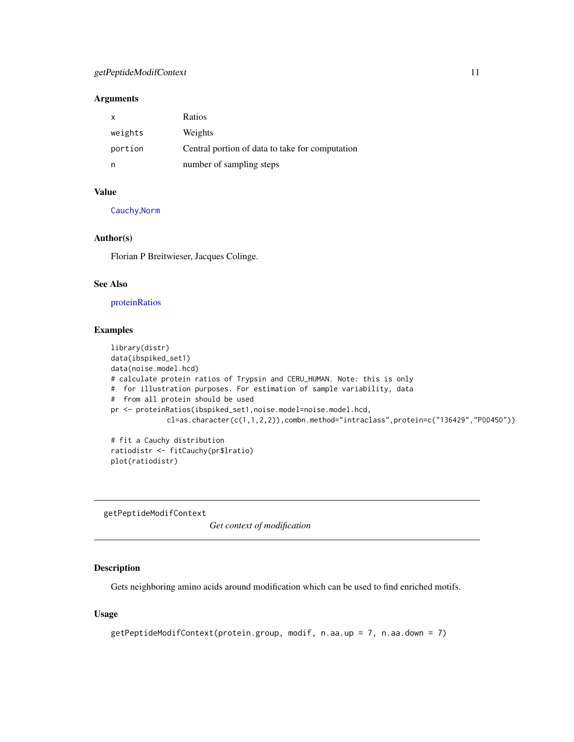## <span id="page-10-0"></span>getPeptideModifContext 11

## Arguments

| x       | Ratios                                          |
|---------|-------------------------------------------------|
| weights | Weights                                         |
| portion | Central portion of data to take for computation |
|         | number of sampling steps                        |

## Value

[Cauchy](#page-0-0),[Norm](#page-0-0)

## Author(s)

Florian P Breitwieser, Jacques Colinge.

## See Also

[proteinRatios](#page-35-1)

## Examples

```
library(distr)
data(ibspiked_set1)
data(noise.model.hcd)
# calculate protein ratios of Trypsin and CERU_HUMAN. Note: this is only
# for illustration purposes. For estimation of sample variability, data
# from all protein should be used
pr <- proteinRatios(ibspiked_set1,noise.model=noise.model.hcd,
             cl=as.character(c(1,1,2,2)),combn.method="intraclass",protein=c("136429","P00450"))
# fit a Cauchy distribution
```
ratiodistr <- fitCauchy(pr\$lratio) plot(ratiodistr)

getPeptideModifContext

*Get context of modification*

#### Description

Gets neighboring amino acids around modification which can be used to find enriched motifs.

```
getPeptideModifContext(protein.group, modif, n.aa.up = 7, n.aa.down = 7)
```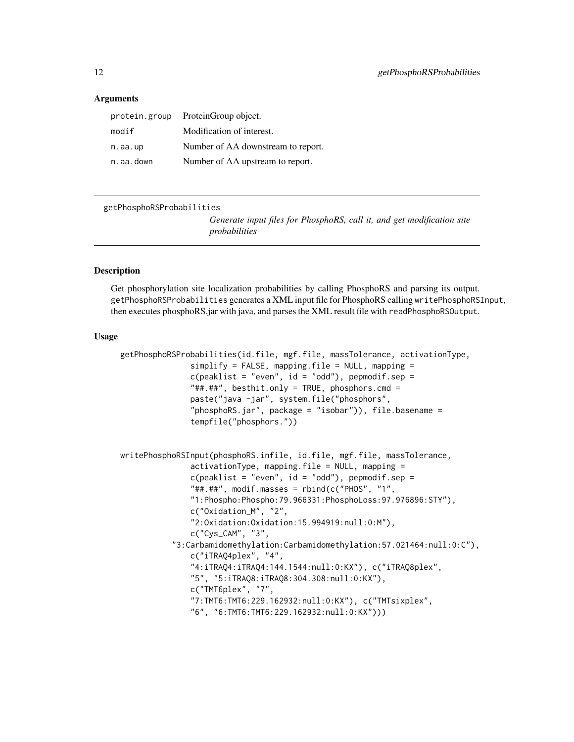#### <span id="page-11-0"></span>**Arguments**

| protein.group | ProteinGroup object.               |
|---------------|------------------------------------|
| modif         | Modification of interest.          |
| n.aa.up       | Number of AA downstream to report. |
| n.aa.down     | Number of AA upstream to report.   |

getPhosphoRSProbabilities

*Generate input files for PhosphoRS, call it, and get modification site probabilities*

#### Description

Get phosphorylation site localization probabilities by calling PhosphoRS and parsing its output. getPhosphoRSProbabilities generates a XML input file for PhosphoRS calling writePhosphoRSInput, then executes phosphoRS.jar with java, and parses the XML result file with readPhosphoRSOutput.

```
getPhosphoRSProbabilities(id.file, mgf.file, massTolerance, activationType,
               simplify = FALSE, mapping.file = NULL, mapping =c(\text{peaklist} = "even", id = "odd"), \text{pepmodi}f.\text{sep} ="##.##", besthit.only = TRUE, phosphors.cmd =
               paste("java -jar", system.file("phosphors",
                "phosphoRS.jar", package = "isobar")), file.basename =
               tempfile("phosphors."))
```

```
writePhosphoRSInput(phosphoRS.infile, id.file, mgf.file, massTolerance,
               activationType, mapping.file = NULL, mapping =
               c(\text{peaklist} = "even", id = "odd"), \text{pepmodi}f.\text{sep} ="##.##", modif.masses = rbind(c("PHOS", "1",
               "1:Phospho:Phospho:79.966331:PhosphoLoss:97.976896:STY"),
               c("Oxidation_M", "2",
               "2:Oxidation:Oxidation:15.994919:null:0:M"),
               c("Cys_CAM", "3",
           "3:Carbamidomethylation:Carbamidomethylation:57.021464:null:0:C"),
               c("iTRAQ4plex", "4",
               "4:iTRAQ4:iTRAQ4:144.1544:null:0:KX"), c("iTRAQ8plex",
               "5", "5:iTRAQ8:iTRAQ8:304.308:null:0:KX"),
               c("TMT6plex", "7",
               "7:TMT6:TMT6:229.162932:null:0:KX"), c("TMTsixplex",
               "6", "6:TMT6:TMT6:229.162932:null:0:KX")))
```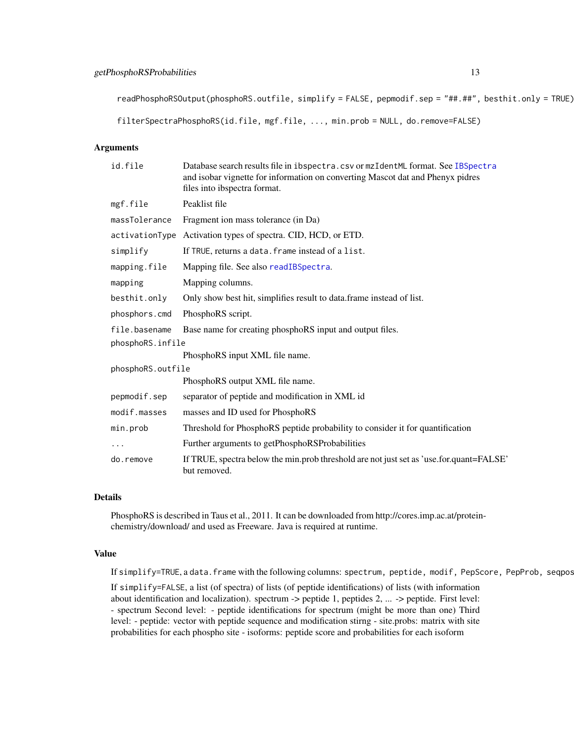## getPhosphoRSProbabilities 13

readPhosphoRSOutput(phosphoRS.outfile, simplify = FALSE, pepmodif.sep = "##.##", besthit.only = TRUE)

filterSpectraPhosphoRS(id.file, mgf.file, ..., min.prob = NULL, do.remove=FALSE)

#### Arguments

| id.file           | Database search results file in ibspectra.csv or mzIdentML format. See IBSpectra<br>and isobar vignette for information on converting Mascot dat and Phenyx pidres<br>files into ibspectra format. |  |
|-------------------|----------------------------------------------------------------------------------------------------------------------------------------------------------------------------------------------------|--|
| mgf.file          | Peaklist file                                                                                                                                                                                      |  |
| massTolerance     | Fragment ion mass tolerance (in Da)                                                                                                                                                                |  |
|                   | activationType Activation types of spectra. CID, HCD, or ETD.                                                                                                                                      |  |
| simplify          | If TRUE, returns a data. frame instead of a list.                                                                                                                                                  |  |
| mapping.file      | Mapping file. See also readIBSpectra.                                                                                                                                                              |  |
| mapping           | Mapping columns.                                                                                                                                                                                   |  |
| besthit.only      | Only show best hit, simplifies result to data.frame instead of list.                                                                                                                               |  |
| phosphors.cmd     | PhosphoRS script.                                                                                                                                                                                  |  |
| file.basename     | Base name for creating phosphoRS input and output files.                                                                                                                                           |  |
| phosphoRS.infile  |                                                                                                                                                                                                    |  |
|                   | PhosphoRS input XML file name.                                                                                                                                                                     |  |
| phosphoRS.outfile |                                                                                                                                                                                                    |  |
|                   | PhosphoRS output XML file name.                                                                                                                                                                    |  |
| pepmodif.sep      | separator of peptide and modification in XML id                                                                                                                                                    |  |
| modif.masses      | masses and ID used for PhosphoRS                                                                                                                                                                   |  |
| min.prob          | Threshold for PhosphoRS peptide probability to consider it for quantification                                                                                                                      |  |
|                   | Further arguments to getPhosphoRSProbabilities                                                                                                                                                     |  |
| do.remove         | If TRUE, spectra below the min.prob threshold are not just set as 'use.for.quant=FALSE'<br>but removed.                                                                                            |  |

#### Details

PhosphoRS is described in Taus et al., 2011. It can be downloaded from http://cores.imp.ac.at/proteinchemistry/download/ and used as Freeware. Java is required at runtime.

#### Value

If simplify=TRUE, a data.frame with the following columns: spectrum, peptide, modif, PepScore, PepProb, seqpos

If simplify=FALSE, a list (of spectra) of lists (of peptide identifications) of lists (with information about identification and localization). spectrum -> peptide 1, peptides 2, ... -> peptide. First level: - spectrum Second level: - peptide identifications for spectrum (might be more than one) Third level: - peptide: vector with peptide sequence and modification stirng - site.probs: matrix with site probabilities for each phospho site - isoforms: peptide score and probabilities for each isoform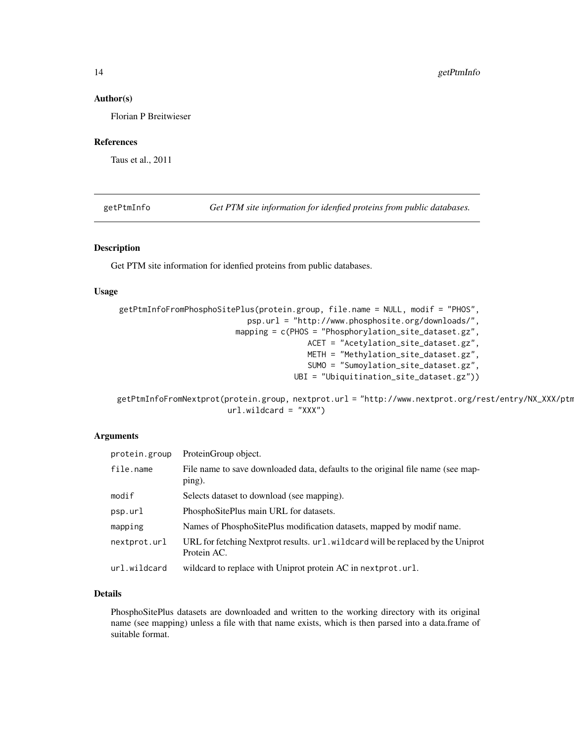#### <span id="page-13-0"></span>Author(s)

Florian P Breitwieser

#### References

Taus et al., 2011

getPtmInfo *Get PTM site information for idenfied proteins from public databases.*

## Description

Get PTM site information for idenfied proteins from public databases.

## Usage

```
getPtmInfoFromPhosphoSitePlus(protein.group, file.name = NULL, modif = "PHOS",
                            psp.url = "http://www.phosphosite.org/downloads/",
                         mapping = c(PHOS = "Phosphorylation_site_dataset.gz",
                                         ACET = "Acetylation_site_dataset.gz",
                                         METH = "Methylation_site_dataset.gz",
                                         SUMO = "Sumoylation_site_dataset.gz",
                                      UBI = "Ubiquitination_site_dataset.gz"))
```

```
getPtmInfoFromNextprot(protein.group, nextprot.url = "http://www.nextprot.org/rest/entry/NX_XXX/ptm
                        url.wildcard = "XXX")
```
## Arguments

| protein.group | ProteinGroup object.                                                                            |
|---------------|-------------------------------------------------------------------------------------------------|
| file.name     | File name to save downloaded data, defaults to the original file name (see map-<br>ping).       |
| modif         | Selects dataset to download (see mapping).                                                      |
| psp.url       | PhosphoSitePlus main URL for datasets.                                                          |
| mapping       | Names of PhosphoSitePlus modification datasets, mapped by modif name.                           |
| nextprot.url  | URL for fetching Nextprot results. url. wildcard will be replaced by the Uniprot<br>Protein AC. |
| url.wildcard  | wildcard to replace with Uniprot protein AC in next prot.url.                                   |

## Details

PhosphoSitePlus datasets are downloaded and written to the working directory with its original name (see mapping) unless a file with that name exists, which is then parsed into a data.frame of suitable format.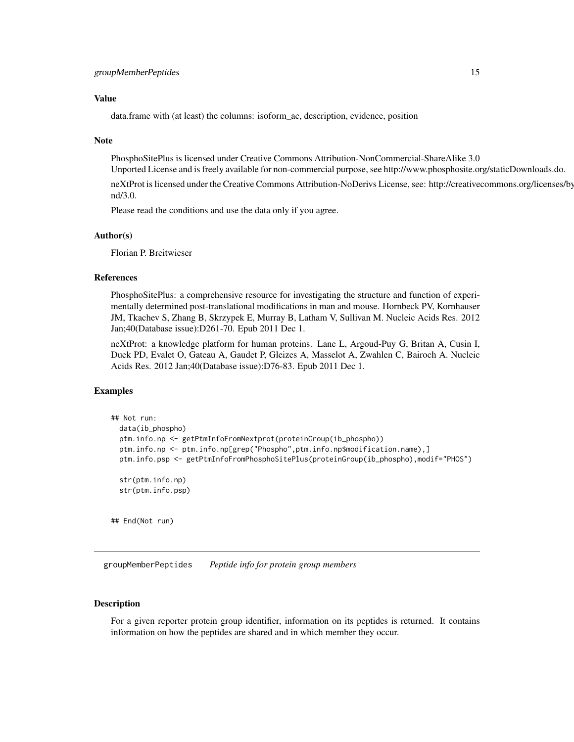#### <span id="page-14-0"></span>Value

data.frame with (at least) the columns: isoform\_ac, description, evidence, position

#### Note

PhosphoSitePlus is licensed under Creative Commons Attribution-NonCommercial-ShareAlike 3.0

Unported License and is freely available for non-commercial purpose, see http://www.phosphosite.org/staticDownloads.do.

neXtProt is licensed under the Creative Commons Attribution-NoDerivs License, see: http://creativecommons.org/licenses/bynd/3.0.

Please read the conditions and use the data only if you agree.

#### Author(s)

Florian P. Breitwieser

#### References

PhosphoSitePlus: a comprehensive resource for investigating the structure and function of experimentally determined post-translational modifications in man and mouse. Hornbeck PV, Kornhauser JM, Tkachev S, Zhang B, Skrzypek E, Murray B, Latham V, Sullivan M. Nucleic Acids Res. 2012 Jan;40(Database issue):D261-70. Epub 2011 Dec 1.

neXtProt: a knowledge platform for human proteins. Lane L, Argoud-Puy G, Britan A, Cusin I, Duek PD, Evalet O, Gateau A, Gaudet P, Gleizes A, Masselot A, Zwahlen C, Bairoch A. Nucleic Acids Res. 2012 Jan;40(Database issue):D76-83. Epub 2011 Dec 1.

#### Examples

```
## Not run:
 data(ib_phospho)
 ptm.info.np <- getPtmInfoFromNextprot(proteinGroup(ib_phospho))
 ptm.info.np <- ptm.info.np[grep("Phospho",ptm.info.np$modification.name),]
 ptm.info.psp <- getPtmInfoFromPhosphoSitePlus(proteinGroup(ib_phospho),modif="PHOS")
 str(ptm.info.np)
 str(ptm.info.psp)
```
## End(Not run)

groupMemberPeptides *Peptide info for protein group members*

#### Description

For a given reporter protein group identifier, information on its peptides is returned. It contains information on how the peptides are shared and in which member they occur.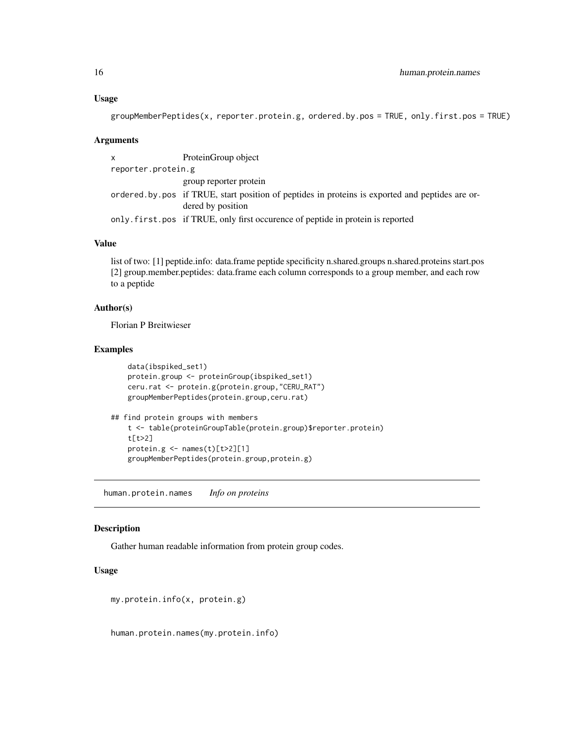```
groupMemberPeptides(x, reporter.protein.g, ordered.by.pos = TRUE, only.first.pos = TRUE)
```
#### Arguments

x ProteinGroup object reporter.protein.g group reporter protein ordered.by.pos if TRUE, start position of peptides in proteins is exported and peptides are ordered by position only.first.pos if TRUE, only first occurence of peptide in protein is reported

## Value

list of two: [1] peptide.info: data.frame peptide specificity n.shared.groups n.shared.proteins start.pos [2] group.member.peptides: data.frame each column corresponds to a group member, and each row to a peptide

## Author(s)

Florian P Breitwieser

#### Examples

```
data(ibspiked_set1)
   protein.group <- proteinGroup(ibspiked_set1)
   ceru.rat <- protein.g(protein.group,"CERU_RAT")
   groupMemberPeptides(protein.group,ceru.rat)
## find protein groups with members
   t <- table(proteinGroupTable(protein.group)$reporter.protein)
   t[t>2]
   protein.g <- names(t)[t>2][1]
   groupMemberPeptides(protein.group,protein.g)
```
human.protein.names *Info on proteins*

#### Description

Gather human readable information from protein group codes.

#### Usage

my.protein.info(x, protein.g)

human.protein.names(my.protein.info)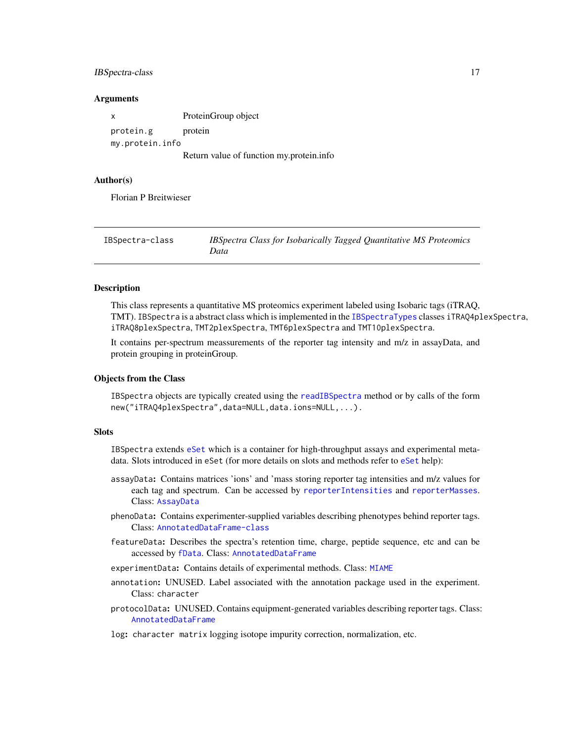## <span id="page-16-0"></span>IBSpectra-class 17

#### **Arguments**

| X               | ProteinGroup object                      |
|-----------------|------------------------------------------|
| protein.g       | protein                                  |
| my.protein.info |                                          |
|                 | Return value of function my protein info |

#### Author(s)

Florian P Breitwieser

| IBSpectra-class | IBSpectra Class for Isobarically Tagged Quantitative MS Proteomics<br>Data |
|-----------------|----------------------------------------------------------------------------|
|                 |                                                                            |

## <span id="page-16-1"></span>**Description**

This class represents a quantitative MS proteomics experiment labeled using Isobaric tags (iTRAQ, TMT). IBSpectra is a abstract class which is implemented in the [IBSpectraTypes](#page-16-1) classes iTRAQ4plexSpectra, iTRAQ8plexSpectra, TMT2plexSpectra, TMT6plexSpectra and TMT10plexSpectra.

It contains per-spectrum meassurements of the reporter tag intensity and m/z in assayData, and protein grouping in proteinGroup.

#### Objects from the Class

IBSpectra objects are typically created using the [readIBSpectra](#page-23-1) method or by calls of the form new("iTRAQ4plexSpectra",data=NULL,data.ions=NULL,...).

## **Slots**

IBSpectra extends [eSet](#page-0-0) which is a container for high-throughput assays and experimental metadata. Slots introduced in eSet (for more details on slots and methods refer to [eSet](#page-0-0) help):

- assayData: Contains matrices 'ions' and 'mass storing reporter tag intensities and m/z values for each tag and spectrum. Can be accessed by [reporterIntensities](#page-16-1) and [reporterMasses](#page-16-1). Class: [AssayData](#page-0-0)
- phenoData: Contains experimenter-supplied variables describing phenotypes behind reporter tags. Class: [AnnotatedDataFrame-class](#page-0-0)
- featureData: Describes the spectra's retention time, charge, peptide sequence, etc and can be accessed by [fData](#page-0-0). Class: [AnnotatedDataFrame](#page-0-0)
- experimentData: Contains details of experimental methods. Class: [MIAME](#page-0-0)
- annotation: UNUSED. Label associated with the annotation package used in the experiment. Class: character
- protocolData: UNUSED. Contains equipment-generated variables describing reporter tags. Class: [AnnotatedDataFrame](#page-0-0)

log: character matrix logging isotope impurity correction, normalization, etc.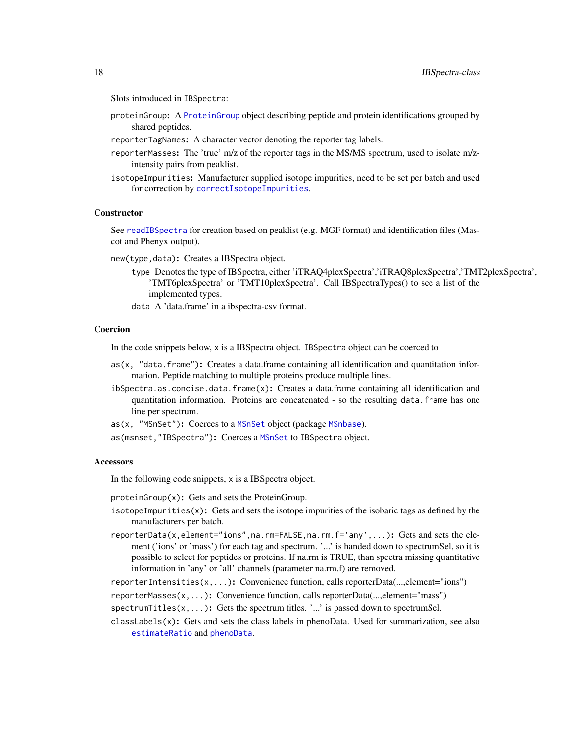Slots introduced in IBSpectra:

- proteinGroup: A [ProteinGroup](#page-38-1) object describing peptide and protein identifications grouped by shared peptides.
- reporterTagNames: A character vector denoting the reporter tag labels.
- reporterMasses: The 'true' m/z of the reporter tags in the MS/MS spectrum, used to isolate m/zintensity pairs from peaklist.
- isotopeImpurities: Manufacturer supplied isotope impurities, need to be set per batch and used for correction by [correctIsotopeImpurities](#page-26-1).

#### **Constructor**

See [readIBSpectra](#page-23-1) for creation based on peaklist (e.g. MGF format) and identification files (Mascot and Phenyx output).

- new(type,data): Creates a IBSpectra object.
	- type Denotes the type of IBSpectra, either 'iTRAQ4plexSpectra','iTRAQ8plexSpectra','TMT2plexSpectra', 'TMT6plexSpectra' or 'TMT10plexSpectra'. Call IBSpectraTypes() to see a list of the implemented types.
	- data A 'data.frame' in a ibspectra-csv format.

#### Coercion

In the code snippets below, x is a IBSpectra object. IBSpectra object can be coerced to

- as(x, "data.frame"): Creates a data.frame containing all identification and quantitation information. Peptide matching to multiple proteins produce multiple lines.
- ibSpectra.as.concise.data.frame(x): Creates a data.frame containing all identification and quantitation information. Proteins are concatenated - so the resulting data.frame has one line per spectrum.
- as(x, "MSnSet"): Coerces to a [MSnSet](#page-0-0) object (package [MSnbase](#page-0-0)).
- as(msnset,"IBSpectra"): Coerces a [MSnSet](#page-0-0) to IBSpectra object.

#### **Accessors**

In the following code snippets, x is a IBSpectra object.

proteinGroup(x): Gets and sets the ProteinGroup.

- isotopeImpurities $(x)$ : Gets and sets the isotope impurities of the isobaric tags as defined by the manufacturers per batch.
- reporterData(x,element="ions",na.rm=FALSE,na.rm.f='any',...): Gets and sets the element ('ions' or 'mass') for each tag and spectrum. '...' is handed down to spectrumSel, so it is possible to select for peptides or proteins. If na.rm is TRUE, than spectra missing quantitative information in 'any' or 'all' channels (parameter na.rm.f) are removed.

reporterIntensities(x,...): Convenience function, calls reporterData(...,element="ions")

reporterMasses(x,...): Convenience function, calls reporterData(...,element="mass")

- spectrum Titles $(x, \ldots)$ : Gets the spectrum titles. '...' is passed down to spectrum Sel.
- $classLabels(x)$ : Gets and sets the class labels in phenoData. Used for summarization, see also [estimateRatio](#page-20-1) and [phenoData](#page-0-0).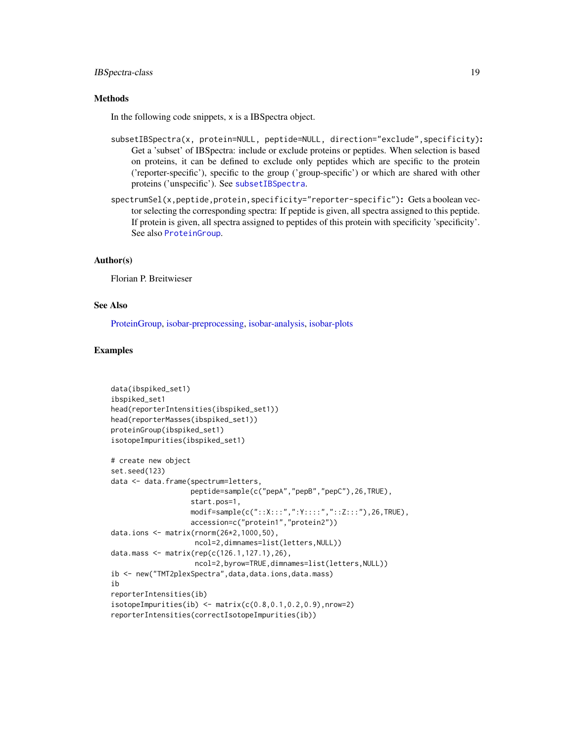## IBSpectra-class 19

## **Methods**

In the following code snippets, x is a IBSpectra object.

- subsetIBSpectra(x, protein=NULL, peptide=NULL, direction="exclude",specificity): Get a 'subset' of IBSpectra: include or exclude proteins or peptides. When selection is based on proteins, it can be defined to exclude only peptides which are specific to the protein ('reporter-specific'), specific to the group ('group-specific') or which are shared with other proteins ('unspecific'). See [subsetIBSpectra](#page-47-1).
- spectrumSel(x,peptide,protein,specificity="reporter-specific"): Gets a boolean vector selecting the corresponding spectra: If peptide is given, all spectra assigned to this peptide. If protein is given, all spectra assigned to peptides of this protein with specificity 'specificity'. See also [ProteinGroup](#page-38-1).

#### Author(s)

Florian P. Breitwieser

## See Also

[ProteinGroup,](#page-38-1) [isobar-preprocessing,](#page-26-2) [isobar-analysis,](#page-20-2) [isobar-plots](#page-25-1)

#### Examples

```
data(ibspiked_set1)
ibspiked_set1
head(reporterIntensities(ibspiked_set1))
head(reporterMasses(ibspiked_set1))
proteinGroup(ibspiked_set1)
isotopeImpurities(ibspiked_set1)
# create new object
set.seed(123)
data <- data.frame(spectrum=letters,
                   peptide=sample(c("pepA","pepB","pepC"),26,TRUE),
                   start.pos=1,
                   modif=sample(c("::X:::",":Y::::","::Z:::"),26,TRUE),
                   accession=c("protein1","protein2"))
data.ions <- matrix(rnorm(26*2,1000,50),
                    ncol=2,dimnames=list(letters,NULL))
data.mass <- matrix(rep(c(126.1,127.1),26),
                    ncol=2,byrow=TRUE,dimnames=list(letters,NULL))
ib <- new("TMT2plexSpectra",data,data.ions,data.mass)
ib
reporterIntensities(ib)
isotopeImpurities(ib) < - matrix(c(0.8, 0.1, 0.2, 0.9), nrow=2)reporterIntensities(correctIsotopeImpurities(ib))
```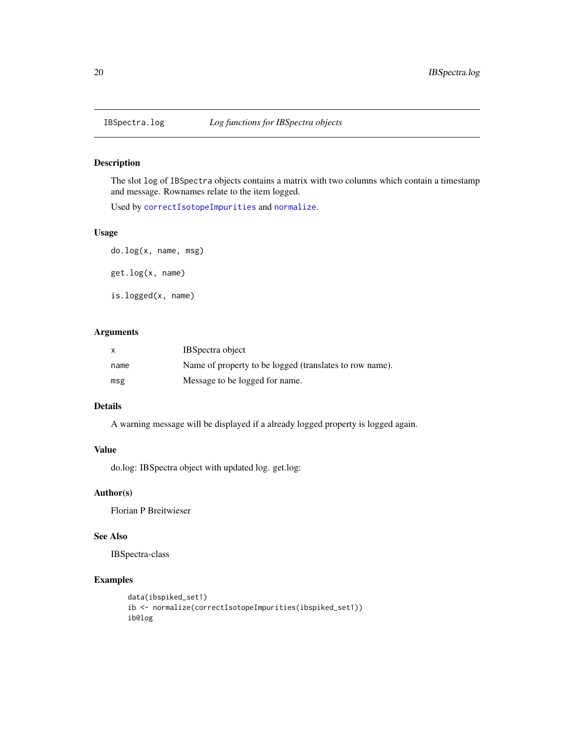<span id="page-19-0"></span>

#### Description

The slot log of IBSpectra objects contains a matrix with two columns which contain a timestamp and message. Rownames relate to the item logged.

Used by [correctIsotopeImpurities](#page-26-1) and [normalize](#page-26-1).

## Usage

do.log(x, name, msg) get.log(x, name) is.logged(x, name)

## Arguments

| X    | <b>IBS</b> pectra object                                |
|------|---------------------------------------------------------|
| name | Name of property to be logged (translates to row name). |
| msg  | Message to be logged for name.                          |

#### Details

A warning message will be displayed if a already logged property is logged again.

## Value

do.log: IBSpectra object with updated log. get.log:

## Author(s)

Florian P Breitwieser

## See Also

IBSpectra-class

## Examples

```
data(ibspiked_set1)
ib <- normalize(correctIsotopeImpurities(ibspiked_set1))
ib@log
```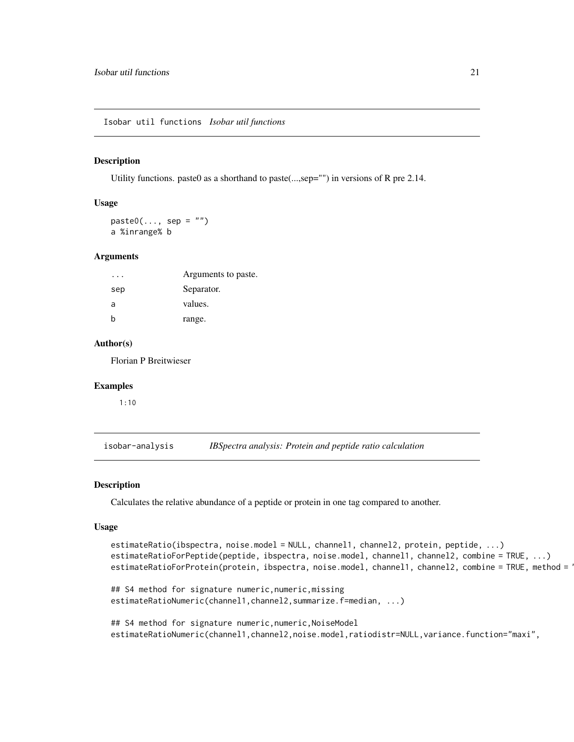<span id="page-20-0"></span>Isobar util functions *Isobar util functions*

#### Description

Utility functions. paste0 as a shorthand to paste(...,sep="") in versions of R pre 2.14.

#### Usage

 $paste0(..., sep = "")$ a %inrange% b

#### Arguments

|     | Arguments to paste. |
|-----|---------------------|
| sep | Separator.          |
| a   | values.             |
|     | range.              |

#### Author(s)

Florian P Breitwieser

#### Examples

1:10

<span id="page-20-2"></span>isobar-analysis *IBSpectra analysis: Protein and peptide ratio calculation*

estimateRatioNumeric(channel1,channel2,summarize.f=median, ...)

#### <span id="page-20-1"></span>Description

Calculates the relative abundance of a peptide or protein in one tag compared to another.

#### Usage

```
estimateRatio(ibspectra, noise.model = NULL, channel1, channel2, protein, peptide, ...)
estimateRatioForPeptide(peptide, ibspectra, noise.model, channel1, channel2, combine = TRUE, ...)
estimateRatioForProtein(protein, ibspectra, noise.model, channel1, channel2, combine = TRUE, method = 1
## S4 method for signature numeric,numeric,missing
```
## S4 method for signature numeric, numeric, NoiseModel estimateRatioNumeric(channel1,channel2,noise.model,ratiodistr=NULL,variance.function="maxi",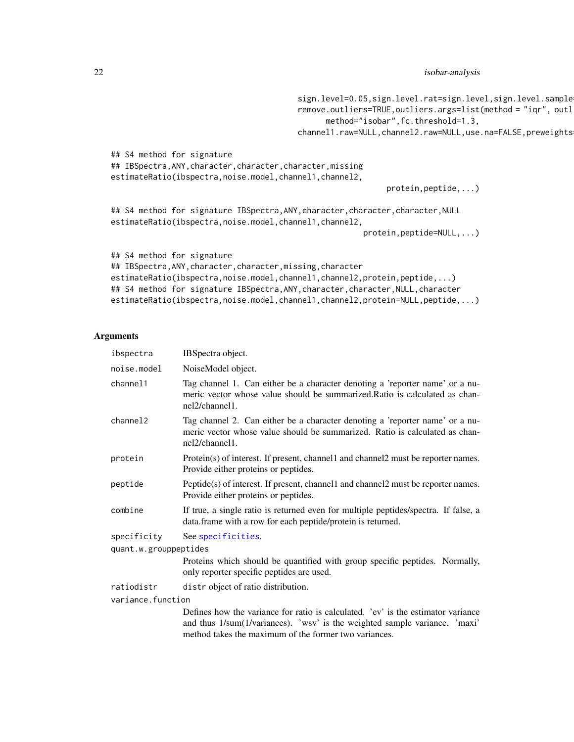sign.level=0.05,sign.level.rat=sign.level,sign.level.sample remove.outliers=TRUE, outliers.args=list(method = "iqr", outl

```
method="isobar",fc.threshold=1.3,
                                         channel1.raw=NULL,channel2.raw=NULL,use.na=FALSE,preweights
## S4 method for signature
## IBSpectra, ANY, character, character, character, missing
estimateRatio(ibspectra,noise.model,channel1,channel2,
                                                             protein,peptide,...)
## S4 method for signature IBSpectra, ANY, character, character, character, NULL
estimateRatio(ibspectra,noise.model,channel1,channel2,
                                                        protein,peptide=NULL,...)
## S4 method for signature
## IBSpectra, ANY, character, character, missing, character
estimateRatio(ibspectra,noise.model,channel1,channel2,protein,peptide,...)
## S4 method for signature IBSpectra, ANY, character, character, NULL, character
```
#### Arguments

| ibspectra             | IBSpectra object.                                                                                                                                                             |
|-----------------------|-------------------------------------------------------------------------------------------------------------------------------------------------------------------------------|
| noise.model           | NoiseModel object.                                                                                                                                                            |
| channel1              | Tag channel 1. Can either be a character denoting a 'reporter name' or a nu-<br>meric vector whose value should be summarized. Ratio is calculated as chan-<br>nel2/channel1. |
| channel2              | Tag channel 2. Can either be a character denoting a 'reporter name' or a nu-<br>meric vector whose value should be summarized. Ratio is calculated as chan-<br>nel2/channel1. |
| protein               | Protein(s) of interest. If present, channel and channel 2 must be reporter names.<br>Provide either proteins or peptides.                                                     |
| peptide               | $Peptide(s)$ of interest. If present, channel and channel 2 must be reporter names.<br>Provide either proteins or peptides.                                                   |
| combine               | If true, a single ratio is returned even for multiple peptides/spectra. If false, a<br>data.frame with a row for each peptide/protein is returned.                            |
| specificity           | See specificities.                                                                                                                                                            |
| quant.w.grouppeptides |                                                                                                                                                                               |
|                       | Proteins which should be quantified with group specific peptides. Normally,<br>only reporter specific peptides are used.                                                      |
| ratiodistr            | distr object of ratio distribution.                                                                                                                                           |
| variance.function     |                                                                                                                                                                               |
|                       | Defines how the variance for ratio is calculated. 'ev' is the estimator variance<br>and thus 1/sum(1/variances). 'wsv' is the weighted sample variance. 'maxi'                |

estimateRatio(ibspectra,noise.model,channel1,channel2,protein=NULL,peptide,...)

method takes the maximum of the former two variances.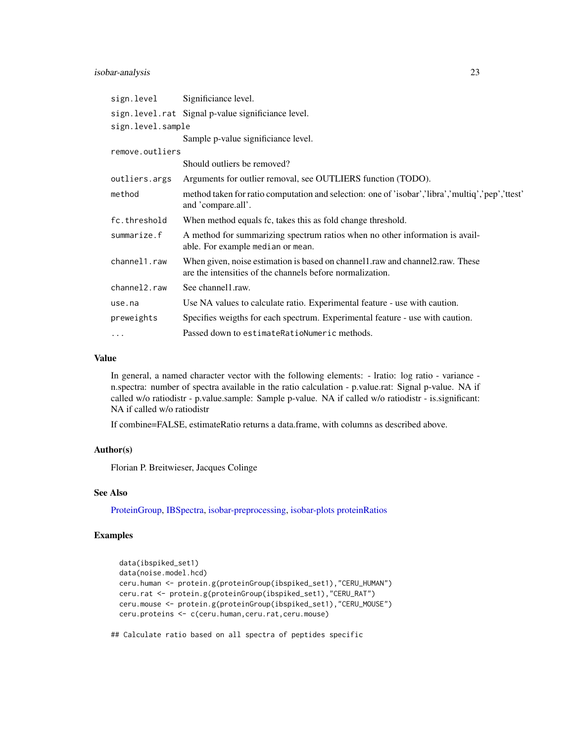## isobar-analysis 23

| sign.level                | Significiance level.                                                                                                                        |
|---------------------------|---------------------------------------------------------------------------------------------------------------------------------------------|
|                           | sign.level.rat Signal p-value significiance level.                                                                                          |
| sign.level.sample         |                                                                                                                                             |
|                           | Sample p-value significiance level.                                                                                                         |
| remove.outliers           |                                                                                                                                             |
|                           | Should outliers be removed?                                                                                                                 |
| outliers.args             | Arguments for outlier removal, see OUTLIERS function (TODO).                                                                                |
| method                    | method taken for ratio computation and selection: one of 'isobar','libra','multiq','pep','ttest'<br>and 'compare.all'.                      |
| fc.threshold              | When method equals fc, takes this as fold change threshold.                                                                                 |
| summarize.f               | A method for summarizing spectrum ratios when no other information is avail-<br>able. For example median or mean.                           |
| channel1.raw              | When given, noise estimation is based on channell raw and channel 2 raw. These<br>are the intensities of the channels before normalization. |
| channel <sub>2</sub> .raw | See channel1.raw.                                                                                                                           |
| use.na                    | Use NA values to calculate ratio. Experimental feature - use with caution.                                                                  |
| preweights                | Specifies weigths for each spectrum. Experimental feature - use with caution.                                                               |
| $\cdots$                  | Passed down to estimate Ration Numeric methods.                                                                                             |

#### Value

In general, a named character vector with the following elements: - lratio: log ratio - variance n.spectra: number of spectra available in the ratio calculation - p.value.rat: Signal p-value. NA if called w/o ratiodistr - p.value.sample: Sample p-value. NA if called w/o ratiodistr - is.significant: NA if called w/o ratiodistr

If combine=FALSE, estimateRatio returns a data.frame, with columns as described above.

#### Author(s)

Florian P. Breitwieser, Jacques Colinge

#### See Also

[ProteinGroup,](#page-38-1) [IBSpectra,](#page-16-1) [isobar-preprocessing,](#page-26-2) [isobar-plots](#page-25-1) [proteinRatios](#page-35-1)

## Examples

```
data(ibspiked_set1)
data(noise.model.hcd)
ceru.human <- protein.g(proteinGroup(ibspiked_set1),"CERU_HUMAN")
ceru.rat <- protein.g(proteinGroup(ibspiked_set1),"CERU_RAT")
ceru.mouse <- protein.g(proteinGroup(ibspiked_set1),"CERU_MOUSE")
ceru.proteins <- c(ceru.human,ceru.rat,ceru.mouse)
```
## Calculate ratio based on all spectra of peptides specific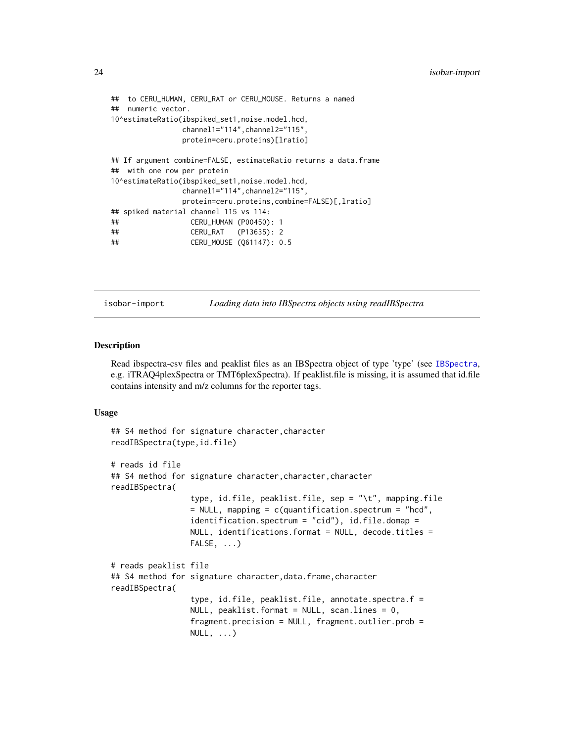```
## to CERU_HUMAN, CERU_RAT or CERU_MOUSE. Returns a named
## numeric vector.
10^estimateRatio(ibspiked_set1,noise.model.hcd,
               channel1="114",channel2="115",
               protein=ceru.proteins)[lratio]
## If argument combine=FALSE, estimateRatio returns a data.frame
## with one row per protein
10^estimateRatio(ibspiked_set1,noise.model.hcd,
               channel1="114",channel2="115",
               protein=ceru.proteins,combine=FALSE)[,lratio]
## spiked material channel 115 vs 114:
## CERU_HUMAN (P00450): 1
## CERU_RAT (P13635): 2
## CERU_MOUSE (Q61147): 0.5
```
isobar-import *Loading data into IBSpectra objects using readIBSpectra*

#### <span id="page-23-1"></span>Description

Read ibspectra-csv files and peaklist files as an IBSpectra object of type 'type' (see [IBSpectra](#page-16-1), e.g. iTRAQ4plexSpectra or TMT6plexSpectra). If peaklist.file is missing, it is assumed that id.file contains intensity and m/z columns for the reporter tags.

```
## S4 method for signature character, character
readIBSpectra(type,id.file)
# reads id file
## S4 method for signature character,character,character
readIBSpectra(
                 type, id.file, peaklist.file, sep = "\t", mapping.file
                 = NULL, mapping = c(quantification.spectrum = "hcd",
                 identification.spectrum = "cid"), id.file.domap =
                 NULL, identifications.format = NULL, decode. titles =FALSE, ...)
# reads peaklist file
## S4 method for signature character,data.frame,character
readIBSpectra(
                 type, id.file, peaklist.file, annotate.spectra.f =
                 NULL, peaklist.format = NULL, scan.lines = 0,
                 fragment.precision = NULL, fragment.outlier.prob =
                 NULL, \ldots)
```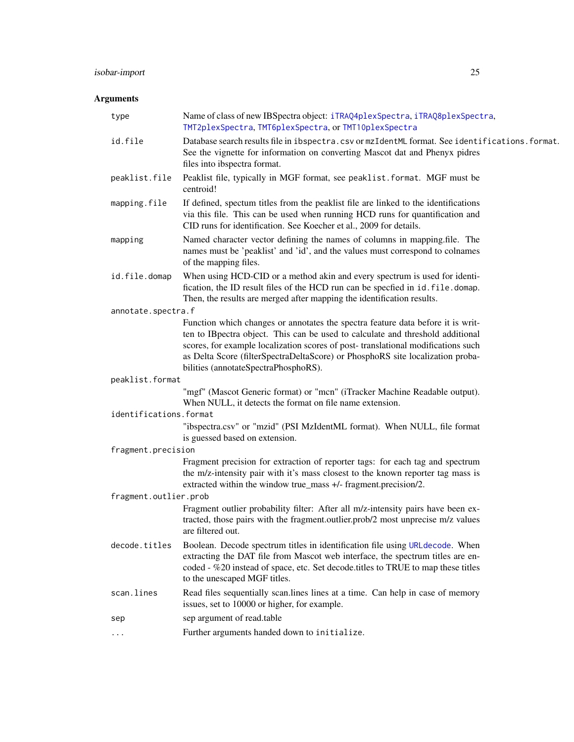## isobar-import 25

## Arguments

| type                   | Name of class of new IBSpectra object: iTRAQ4p1exSpectra, iTRAQ8p1exSpectra,<br>TMT2plexSpectra, TMT6plexSpectra, or TMT10plexSpectra                                                                                                                                                                                                                                           |
|------------------------|---------------------------------------------------------------------------------------------------------------------------------------------------------------------------------------------------------------------------------------------------------------------------------------------------------------------------------------------------------------------------------|
| id.file                | Database search results file in ibspectra.csv or mzIdentML format. See identifications.format.<br>See the vignette for information on converting Mascot dat and Phenyx pidres<br>files into ibspectra format.                                                                                                                                                                   |
| peaklist.file          | Peaklist file, typically in MGF format, see peaklist. format. MGF must be<br>centroid!                                                                                                                                                                                                                                                                                          |
| mapping.file           | If defined, spectum titles from the peaklist file are linked to the identifications<br>via this file. This can be used when running HCD runs for quantification and<br>CID runs for identification. See Koecher et al., 2009 for details.                                                                                                                                       |
| mapping                | Named character vector defining the names of columns in mapping.file. The<br>names must be 'peaklist' and 'id', and the values must correspond to colnames<br>of the mapping files.                                                                                                                                                                                             |
| id.file.domap          | When using HCD-CID or a method akin and every spectrum is used for identi-<br>fication, the ID result files of the HCD run can be specfied in id. file. domap.<br>Then, the results are merged after mapping the identification results.                                                                                                                                        |
| annotate.spectra.f     |                                                                                                                                                                                                                                                                                                                                                                                 |
|                        | Function which changes or annotates the spectra feature data before it is writ-<br>ten to IBpectra object. This can be used to calculate and threshold additional<br>scores, for example localization scores of post-translational modifications such<br>as Delta Score (filterSpectraDeltaScore) or PhosphoRS site localization proba-<br>bilities (annotateSpectraPhosphoRS). |
| peaklist.format        |                                                                                                                                                                                                                                                                                                                                                                                 |
|                        | "mgf" (Mascot Generic format) or "mcn" (iTracker Machine Readable output).<br>When NULL, it detects the format on file name extension.                                                                                                                                                                                                                                          |
| identifications.format |                                                                                                                                                                                                                                                                                                                                                                                 |
|                        | "ibspectra.csv" or "mzid" (PSI MzIdentML format). When NULL, file format<br>is guessed based on extension.                                                                                                                                                                                                                                                                      |
| fragment.precision     |                                                                                                                                                                                                                                                                                                                                                                                 |
|                        | Fragment precision for extraction of reporter tags: for each tag and spectrum<br>the m/z-intensity pair with it's mass closest to the known reporter tag mass is<br>extracted within the window true_mass +/- fragment.precision/2.                                                                                                                                             |
| fragment.outlier.prob  |                                                                                                                                                                                                                                                                                                                                                                                 |
|                        | Fragment outlier probability filter: After all m/z-intensity pairs have been ex-<br>tracted, those pairs with the fragment.outlier.prob/2 most unprecise m/z values<br>are filtered out.                                                                                                                                                                                        |
| decode.titles          | Boolean. Decode spectrum titles in identification file using URL decode. When<br>extracting the DAT file from Mascot web interface, the spectrum titles are en-<br>coded - %20 instead of space, etc. Set decode titles to TRUE to map these titles<br>to the unescaped MGF titles.                                                                                             |
| scan.lines             | Read files sequentially scan.lines lines at a time. Can help in case of memory<br>issues, set to 10000 or higher, for example.                                                                                                                                                                                                                                                  |
| sep                    | sep argument of read.table                                                                                                                                                                                                                                                                                                                                                      |
|                        | Further arguments handed down to initialize.                                                                                                                                                                                                                                                                                                                                    |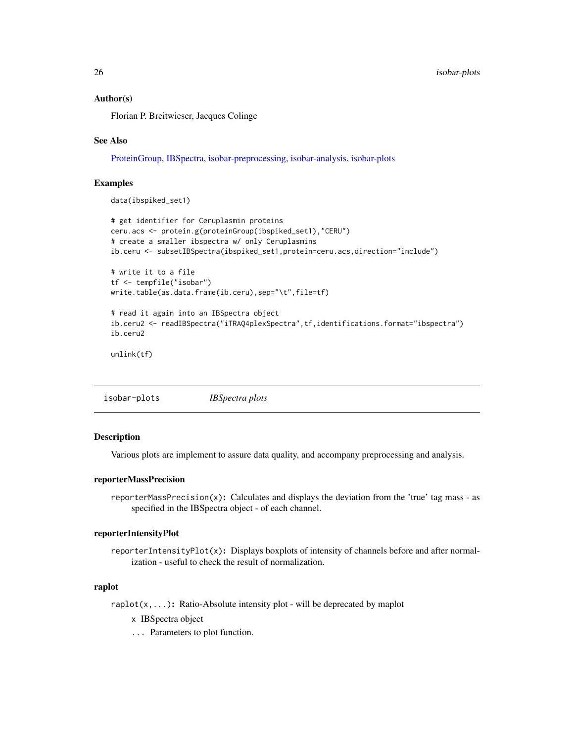#### <span id="page-25-0"></span>Author(s)

Florian P. Breitwieser, Jacques Colinge

#### See Also

[ProteinGroup,](#page-38-1) [IBSpectra,](#page-16-1) [isobar-preprocessing,](#page-26-2) [isobar-analysis,](#page-20-2) [isobar-plots](#page-25-1)

## Examples

data(ibspiked\_set1)

```
# get identifier for Ceruplasmin proteins
ceru.acs <- protein.g(proteinGroup(ibspiked_set1),"CERU")
# create a smaller ibspectra w/ only Ceruplasmins
ib.ceru <- subsetIBSpectra(ibspiked_set1,protein=ceru.acs,direction="include")
# write it to a file
tf <- tempfile("isobar")
write.table(as.data.frame(ib.ceru),sep="\t",file=tf)
# read it again into an IBSpectra object
ib.ceru2 <- readIBSpectra("iTRAQ4plexSpectra",tf,identifications.format="ibspectra")
ib.ceru2
```
unlink(tf)

<span id="page-25-1"></span>isobar-plots *IBSpectra plots*

#### Description

Various plots are implement to assure data quality, and accompany preprocessing and analysis.

#### reporterMassPrecision

reporterMassPrecision(x): Calculates and displays the deviation from the 'true' tag mass - as specified in the IBSpectra object - of each channel.

#### reporterIntensityPlot

reporterIntensityPlot(x): Displays boxplots of intensity of channels before and after normalization - useful to check the result of normalization.

## raplot

raplot(x,...): Ratio-Absolute intensity plot - will be deprecated by maplot

- x IBSpectra object
- ... Parameters to plot function.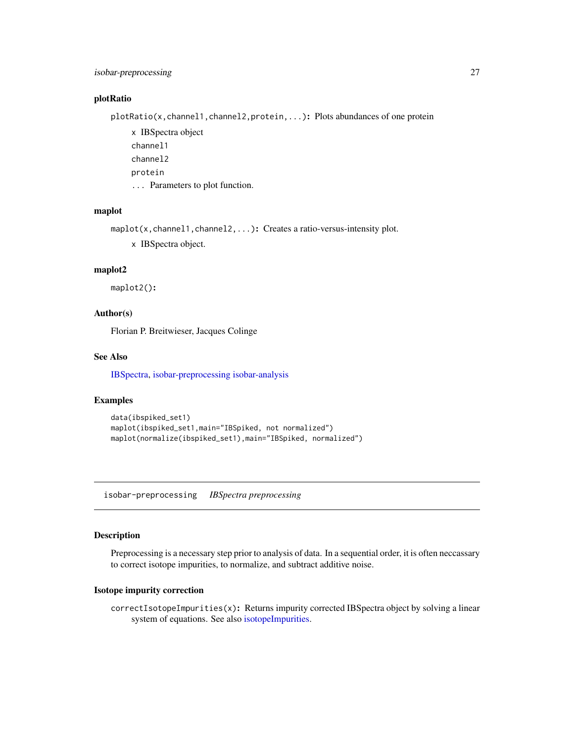## <span id="page-26-0"></span>isobar-preprocessing 27

#### plotRatio

plotRatio(x, channel1, channel2, protein, ...): Plots abundances of one protein

x IBSpectra object channel1 channel2 protein ... Parameters to plot function.

#### maplot

maplot(x, channel1, channel2, ...): Creates a ratio-versus-intensity plot.

x IBSpectra object.

## maplot2

maplot2():

## Author(s)

Florian P. Breitwieser, Jacques Colinge

## See Also

[IBSpectra,](#page-16-1) [isobar-preprocessing](#page-26-2) [isobar-analysis](#page-20-2)

#### Examples

```
data(ibspiked_set1)
maplot(ibspiked_set1,main="IBSpiked, not normalized")
maplot(normalize(ibspiked_set1),main="IBSpiked, normalized")
```
<span id="page-26-2"></span>isobar-preprocessing *IBSpectra preprocessing*

## <span id="page-26-1"></span>Description

Preprocessing is a necessary step prior to analysis of data. In a sequential order, it is often neccassary to correct isotope impurities, to normalize, and subtract additive noise.

#### Isotope impurity correction

correctIsotopeImpurities(x): Returns impurity corrected IBSpectra object by solving a linear system of equations. See also [isotopeImpurities.](#page-16-1)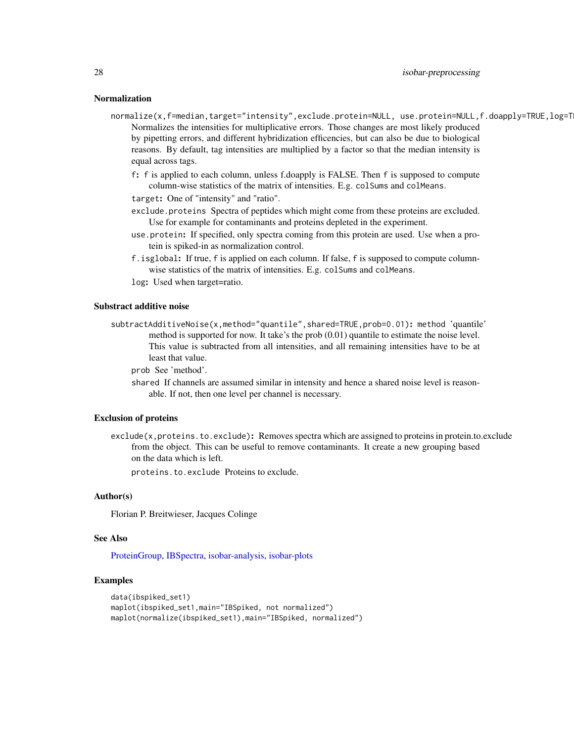#### Normalization

- normalize(x,f=median,target="intensity",exclude.protein=NULL, use.protein=NULL,f.doapply=TRUE,log=T Normalizes the intensities for multiplicative errors. Those changes are most likely produced by pipetting errors, and different hybridization efficencies, but can also be due to biological reasons. By default, tag intensities are multiplied by a factor so that the median intensity is equal across tags.
	- f: f is applied to each column, unless f.doapply is FALSE. Then f is supposed to compute column-wise statistics of the matrix of intensities. E.g. colSums and colMeans.
	- target: One of "intensity" and "ratio".
	- exclude.proteins Spectra of peptides which might come from these proteins are excluded. Use for example for contaminants and proteins depleted in the experiment.
	- use.protein: If specified, only spectra coming from this protein are used. Use when a protein is spiked-in as normalization control.
	- f.isglobal: If true, f is applied on each column. If false, f is supposed to compute columnwise statistics of the matrix of intensities. E.g. colSums and colMeans.
	- log: Used when target=ratio.

#### Substract additive noise

subtractAdditiveNoise(x,method="quantile",shared=TRUE,prob=0.01): method 'quantile' method is supported for now. It take's the prob (0.01) quantile to estimate the noise level. This value is subtracted from all intensities, and all remaining intensities have to be at least that value.

prob See 'method'.

shared If channels are assumed similar in intensity and hence a shared noise level is reasonable. If not, then one level per channel is necessary.

#### Exclusion of proteins

exclude(x,proteins.to.exclude): Removes spectra which are assigned to proteins in protein.to.exclude from the object. This can be useful to remove contaminants. It create a new grouping based on the data which is left.

proteins.to.exclude Proteins to exclude.

#### Author(s)

Florian P. Breitwieser, Jacques Colinge

#### See Also

[ProteinGroup,](#page-38-1) [IBSpectra,](#page-16-1) [isobar-analysis,](#page-20-2) [isobar-plots](#page-25-1)

#### Examples

```
data(ibspiked_set1)
maplot(ibspiked_set1,main="IBSpiked, not normalized")
maplot(normalize(ibspiked_set1),main="IBSpiked, normalized")
```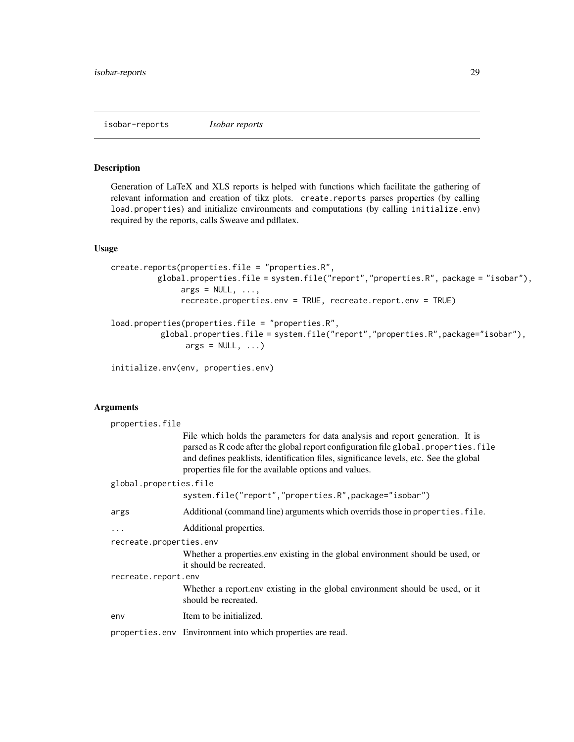<span id="page-28-0"></span>isobar-reports *Isobar reports*

## <span id="page-28-1"></span>Description

Generation of LaTeX and XLS reports is helped with functions which facilitate the gathering of relevant information and creation of tikz plots. create.reports parses properties (by calling load.properties) and initialize environments and computations (by calling initialize.env) required by the reports, calls Sweave and pdflatex.

## Usage

```
create.reports(properties.file = "properties.R",
          global.properties.file = system.file("report","properties.R", package = "isobar"),
               args = NULL, ...,recreate.properties.env = TRUE, recreate.report.env = TRUE)
load.properties(properties.file = "properties.R",
          global.properties.file = system.file("report","properties.R",package="isobar"),
                args = NULL, ...)
```

```
initialize.env(env, properties.env)
```
## Arguments

| properties.file         |                                                                                                                                                                                                                                                                                                                          |  |
|-------------------------|--------------------------------------------------------------------------------------------------------------------------------------------------------------------------------------------------------------------------------------------------------------------------------------------------------------------------|--|
|                         | File which holds the parameters for data analysis and report generation. It is<br>parsed as R code after the global report configuration file global. properties. file<br>and defines peaklists, identification files, significance levels, etc. See the global<br>properties file for the available options and values. |  |
| global.properties.file  |                                                                                                                                                                                                                                                                                                                          |  |
|                         | system.file("report","properties.R",package="isobar")                                                                                                                                                                                                                                                                    |  |
| args                    | Additional (command line) arguments which overrids those in properties. file.                                                                                                                                                                                                                                            |  |
| $\cdots$                | Additional properties.                                                                                                                                                                                                                                                                                                   |  |
| recreate.properties.env |                                                                                                                                                                                                                                                                                                                          |  |
|                         | Whether a properties env existing in the global environment should be used, or<br>it should be recreated.                                                                                                                                                                                                                |  |
| recreate.report.env     |                                                                                                                                                                                                                                                                                                                          |  |
|                         | Whether a report.env existing in the global environment should be used, or it<br>should be recreated.                                                                                                                                                                                                                    |  |
| env                     | Item to be initialized.                                                                                                                                                                                                                                                                                                  |  |
|                         | properties.env Environment into which properties are read.                                                                                                                                                                                                                                                               |  |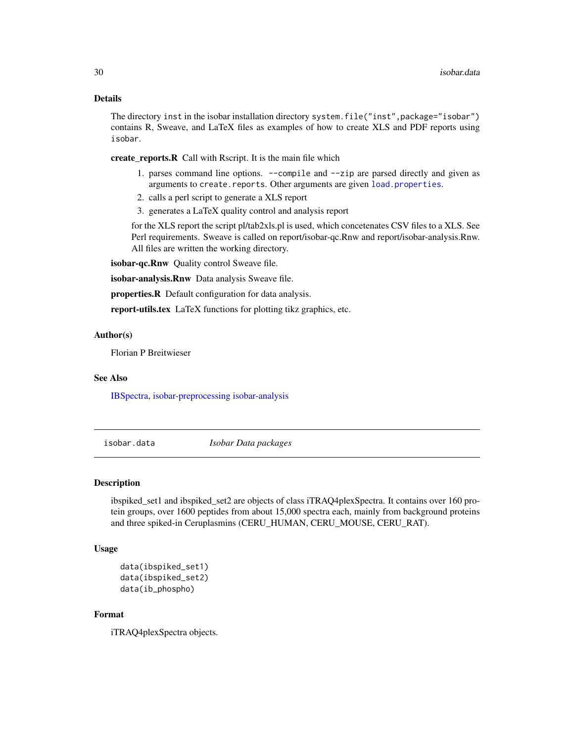## <span id="page-29-0"></span>Details

The directory inst in the isobar installation directory system.file("inst", package="isobar") contains R, Sweave, and LaTeX files as examples of how to create XLS and PDF reports using isobar.

create\_reports.R Call with Rscript. It is the main file which

- 1. parses command line options. --compile and --zip are parsed directly and given as arguments to create.reports. Other arguments are given [load.properties](#page-28-1).
- 2. calls a perl script to generate a XLS report
- 3. generates a LaTeX quality control and analysis report

for the XLS report the script pl/tab2xls.pl is used, which concetenates CSV files to a XLS. See Perl requirements. Sweave is called on report/isobar-qc.Rnw and report/isobar-analysis.Rnw. All files are written the working directory.

isobar-qc.Rnw Quality control Sweave file.

isobar-analysis.Rnw Data analysis Sweave file.

properties.R Default configuration for data analysis.

report-utils.tex LaTeX functions for plotting tikz graphics, etc.

#### Author(s)

Florian P Breitwieser

#### See Also

[IBSpectra,](#page-16-1) [isobar-preprocessing](#page-26-2) [isobar-analysis](#page-20-2)

isobar.data *Isobar Data packages*

#### Description

ibspiked set1 and ibspiked set2 are objects of class iTRAQ4plexSpectra. It contains over 160 protein groups, over 1600 peptides from about 15,000 spectra each, mainly from background proteins and three spiked-in Ceruplasmins (CERU\_HUMAN, CERU\_MOUSE, CERU\_RAT).

#### Usage

```
data(ibspiked_set1)
data(ibspiked_set2)
data(ib_phospho)
```
## Format

iTRAQ4plexSpectra objects.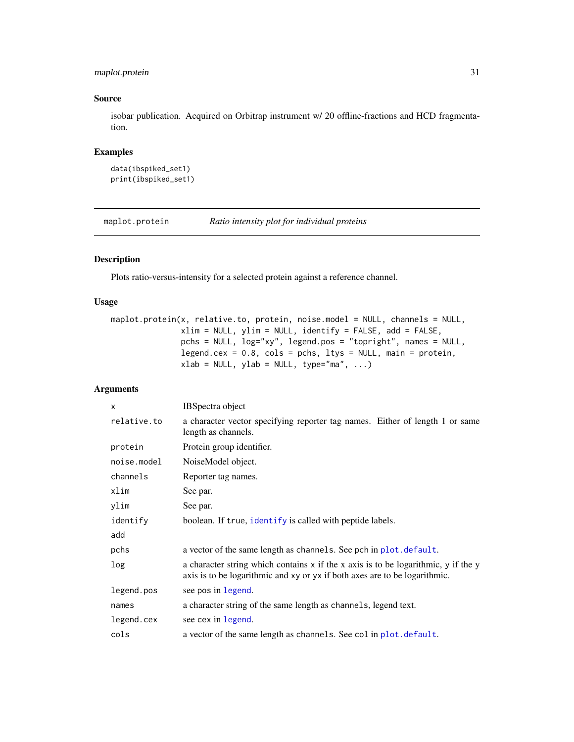## <span id="page-30-0"></span>maplot.protein 31

## Source

isobar publication. Acquired on Orbitrap instrument w/ 20 offline-fractions and HCD fragmentation.

## Examples

```
data(ibspiked_set1)
print(ibspiked_set1)
```
maplot.protein *Ratio intensity plot for individual proteins*

#### Description

Plots ratio-versus-intensity for a selected protein against a reference channel.

#### Usage

```
maplot.protein(x, relative.to, protein, noise.model = NULL, channels = NULL,
               xlim = NULL, ylim = NULL, identify = FALSE, add = FALSE,
               pchs = NULL, log="xy", legend.pos = "topright", names = NULL,
               legend.cex = 0.8, cols = pchs, ltys = NULL, main = protein,
              xlab = NULL, ylab = NULL, type="ma", ...)
```
## Arguments

| x           | <b>IBSpectra</b> object                                                                                                                                            |
|-------------|--------------------------------------------------------------------------------------------------------------------------------------------------------------------|
| relative.to | a character vector specifying reporter tag names. Either of length 1 or same<br>length as channels.                                                                |
| protein     | Protein group identifier.                                                                                                                                          |
| noise.model | NoiseModel object.                                                                                                                                                 |
| channels    | Reporter tag names.                                                                                                                                                |
| xlim        | See par.                                                                                                                                                           |
| ylim        | See par.                                                                                                                                                           |
| identify    | boolean. If true, identify is called with peptide labels.                                                                                                          |
| add         |                                                                                                                                                                    |
| pchs        | a vector of the same length as channels. See pch in plot. default.                                                                                                 |
| log         | a character string which contains $x$ if the x axis is to be logarithmic, y if the y<br>axis is to be logarithmic and xy or yx if both axes are to be logarithmic. |
| legend.pos  | see pos in legend.                                                                                                                                                 |
| names       | a character string of the same length as channels, legend text.                                                                                                    |
| legend.cex  | see cex in legend.                                                                                                                                                 |
| cols        | a vector of the same length as channels. See col in plot. default.                                                                                                 |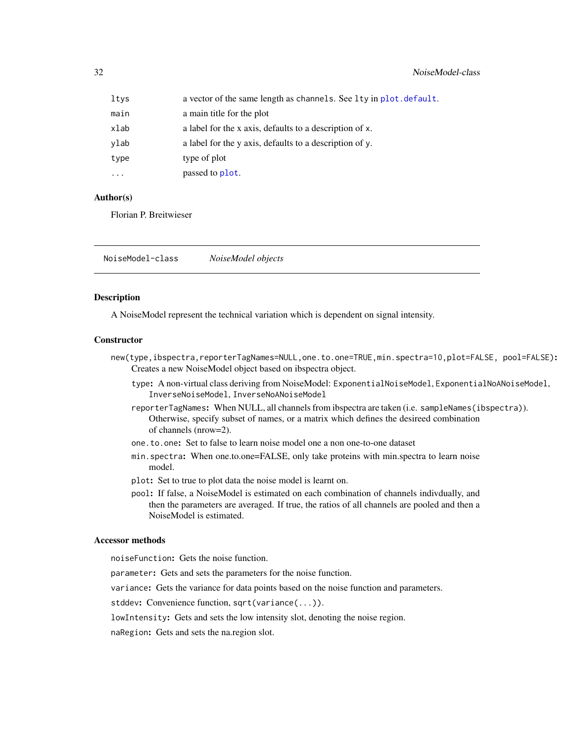<span id="page-31-0"></span>

| ltys     | a vector of the same length as channels. See lty in plot. default. |
|----------|--------------------------------------------------------------------|
| main     | a main title for the plot                                          |
| xlab     | a label for the x axis, defaults to a description of x.            |
| ylab     | a label for the y axis, defaults to a description of y.            |
| type     | type of plot                                                       |
| $\cdots$ | passed to plot.                                                    |

#### Author(s)

Florian P. Breitwieser

NoiseModel-class *NoiseModel objects*

#### Description

A NoiseModel represent the technical variation which is dependent on signal intensity.

## **Constructor**

- new(type,ibspectra,reporterTagNames=NULL,one.to.one=TRUE,min.spectra=10,plot=FALSE, pool=FALSE): Creates a new NoiseModel object based on ibspectra object.
	- type: A non-virtual class deriving from NoiseModel: ExponentialNoiseModel, ExponentialNoANoiseModel, InverseNoiseModel, InverseNoANoiseModel
	- reporterTagNames: When NULL, all channels from ibspectra are taken (i.e. sampleNames(ibspectra)). Otherwise, specify subset of names, or a matrix which defines the desireed combination of channels (nrow=2).
	- one.to.one: Set to false to learn noise model one a non one-to-one dataset
	- min.spectra: When one.to.one=FALSE, only take proteins with min.spectra to learn noise model.
	- plot: Set to true to plot data the noise model is learnt on.
	- pool: If false, a NoiseModel is estimated on each combination of channels indivdually, and then the parameters are averaged. If true, the ratios of all channels are pooled and then a NoiseModel is estimated.

## Accessor methods

noiseFunction: Gets the noise function.

- parameter: Gets and sets the parameters for the noise function.
- variance: Gets the variance for data points based on the noise function and parameters.
- stddev: Convenience function, sqrt(variance(...)).

lowIntensity: Gets and sets the low intensity slot, denoting the noise region.

naRegion: Gets and sets the na.region slot.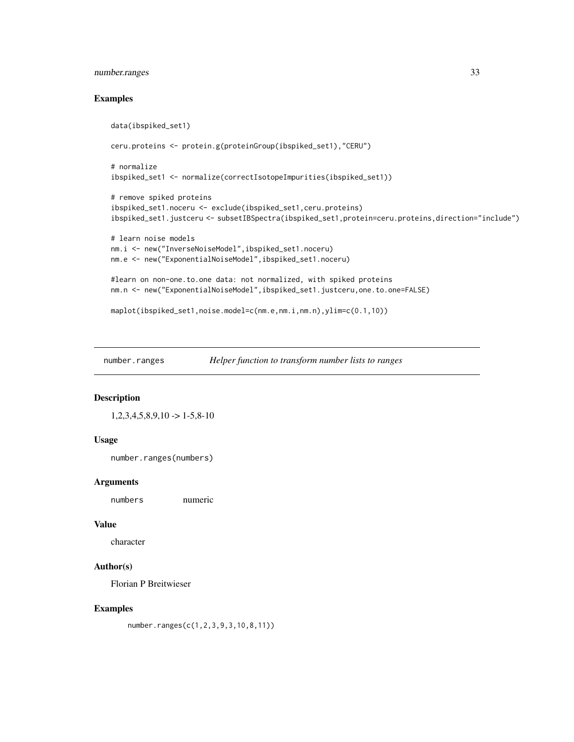## <span id="page-32-0"></span>number.ranges 33

#### Examples

```
data(ibspiked_set1)
ceru.proteins <- protein.g(proteinGroup(ibspiked_set1),"CERU")
# normalize
ibspiked_set1 <- normalize(correctIsotopeImpurities(ibspiked_set1))
# remove spiked proteins
ibspiked_set1.noceru <- exclude(ibspiked_set1,ceru.proteins)
ibspiked_set1.justceru <- subsetIBSpectra(ibspiked_set1,protein=ceru.proteins,direction="include")
# learn noise models
nm.i <- new("InverseNoiseModel",ibspiked_set1.noceru)
nm.e <- new("ExponentialNoiseModel",ibspiked_set1.noceru)
#learn on non-one.to.one data: not normalized, with spiked proteins
nm.n <- new("ExponentialNoiseModel",ibspiked_set1.justceru,one.to.one=FALSE)
```

```
maplot(ibspiked_set1,noise.model=c(nm.e,nm.i,nm.n),ylim=c(0.1,10))
```
number.ranges *Helper function to transform number lists to ranges*

#### Description

```
1,2,3,4,5,8,9,10 \rightarrow 1-5,8-10
```
## Usage

```
number.ranges(numbers)
```
#### Arguments

numbers numeric

## Value

character

## Author(s)

Florian P Breitwieser

#### Examples

number.ranges(c(1,2,3,9,3,10,8,11))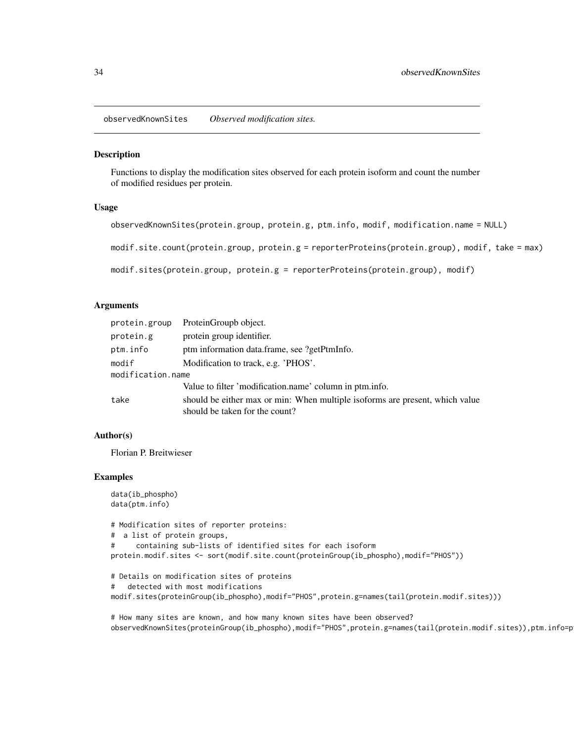<span id="page-33-0"></span>observedKnownSites *Observed modification sites.*

## **Description**

Functions to display the modification sites observed for each protein isoform and count the number of modified residues per protein.

#### Usage

```
observedKnownSites(protein.group, protein.g, ptm.info, modif, modification.name = NULL)
modif.site.count(protein.group, protein.g = reporterProteins(protein.group), modif, take = max)
modif.sites(protein.group, protein.g = reporterProteins(protein.group), modif)
```
#### Arguments

| protein.group     | ProteinGroupb object.                                                                                          |
|-------------------|----------------------------------------------------------------------------------------------------------------|
| protein.g         | protein group identifier.                                                                                      |
| ptm.info          | ptm information data.frame, see ?getPtmInfo.                                                                   |
| modif             | Modification to track, e.g. 'PHOS'.                                                                            |
| modification.name |                                                                                                                |
|                   | Value to filter 'modification.name' column in ptm.info.                                                        |
| take              | should be either max or min: When multiple isoforms are present, which value<br>should be taken for the count? |

## Author(s)

Florian P. Breitwieser

#### Examples

```
data(ib_phospho)
data(ptm.info)
# Modification sites of reporter proteins:
# a list of protein groups,
# containing sub-lists of identified sites for each isoform
protein.modif.sites <- sort(modif.site.count(proteinGroup(ib_phospho),modif="PHOS"))
# Details on modification sites of proteins
# detected with most modifications
modif.sites(proteinGroup(ib_phospho),modif="PHOS",protein.g=names(tail(protein.modif.sites)))
```

```
# How many sites are known, and how many known sites have been observed?
observedKnownSites(proteinGroup(ib_phospho),modif="PHOS",protein.g=names(tail(protein.modif.sites)),ptm.info=p
```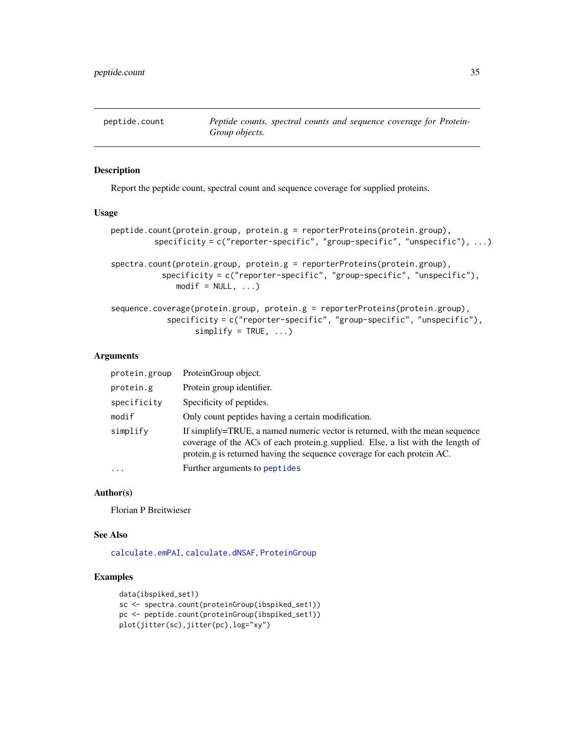<span id="page-34-0"></span>

## <span id="page-34-1"></span>Description

Report the peptide count, spectral count and sequence coverage for supplied proteins.

#### Usage

```
peptide.count(protein.group, protein.g = reporterProteins(protein.group),
         specificity = c("reporter-specific", "group-specific", "unspecific"), ...)
spectra.count(protein.group, protein.g = reporterProteins(protein.group),
           specificity = c("reporter-specific", "group-specific", "unspecific"),
              modelf = NULL, ...sequence.coverage(protein.group, protein.g = reporterProteins(protein.group),
```

```
specificity = c("reporter-specific", "group-specific", "unspecific"),
      simality = TRUE, ...
```
#### **Arguments**

| protein.group | ProteinGroup object.                                                                                                                                                                                                                       |
|---------------|--------------------------------------------------------------------------------------------------------------------------------------------------------------------------------------------------------------------------------------------|
| protein.g     | Protein group identifier.                                                                                                                                                                                                                  |
| specificity   | Specificity of peptides.                                                                                                                                                                                                                   |
| modif         | Only count peptides having a certain modification.                                                                                                                                                                                         |
| simplify      | If simplify=TRUE, a named numeric vector is returned, with the mean sequence<br>coverage of the ACs of each protein.g supplied. Else, a list with the length of<br>protein.g is returned having the sequence coverage for each protein AC. |
| $\ddots$      | Further arguments to peptides                                                                                                                                                                                                              |

#### Author(s)

Florian P Breitwieser

#### See Also

[calculate.emPAI](#page-6-1), [calculate.dNSAF](#page-5-1), [ProteinGroup](#page-38-1)

## Examples

```
data(ibspiked_set1)
sc <- spectra.count(proteinGroup(ibspiked_set1))
pc <- peptide.count(proteinGroup(ibspiked_set1))
plot(jitter(sc),jitter(pc),log="xy")
```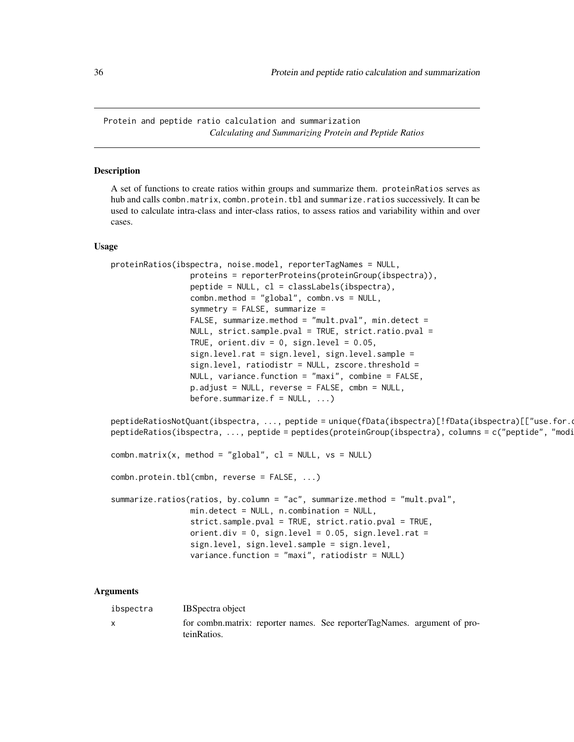<span id="page-35-0"></span>Protein and peptide ratio calculation and summarization *Calculating and Summarizing Protein and Peptide Ratios*

#### <span id="page-35-1"></span>Description

A set of functions to create ratios within groups and summarize them. proteinRatios serves as hub and calls combn.matrix, combn.protein.tbl and summarize.ratios successively. It can be used to calculate intra-class and inter-class ratios, to assess ratios and variability within and over cases.

#### Usage

```
proteinRatios(ibspectra, noise.model, reporterTagNames = NULL,
                 proteins = reporterProteins(proteinGroup(ibspectra)),
                 peptide = NULL, cl = classLabels(ibspectra),
                 combn.method = "global", combn.vs = NULL,
                 symmetry = FALSE, summarize =
                 FALSE, summarize.method = "mult.pval", min.detect =
                 NULL, strict.sample.pval = TRUE, strict.ratio.pval =
                 TRUE, orient.div = 0, sign.level = 0.05,
                 sign.level.rat = sign.level, sign.level.sample =
                 sign.level, ratiodistr = NULL, zscore.threshold =
                 NULL, variance.function = "maxi", combine = FALSE,
                 p.adjust = NULL, reverse = FALSE, cmbn = NULL,
                 before.summarize.f = NULL, ...)
```
peptideRatiosNotQuant(ibspectra, ..., peptide = unique(fData(ibspectra)[!fData(ibspectra)[["use.for.o peptideRatios(ibspectra, ..., peptide = peptides(proteinGroup(ibspectra), columns = c("peptide", "modi

```
combn.matrix(x, method = "global", cl = NULL, vs = NULL)
```
combn.protein.tbl(cmbn, reverse = FALSE, ...)

```
summarize.ratios(ratios, by.column = "ac", summarize.method = "mult.pval",
                min.detect = NULL, n.combination = NULL,
                 strict.sample.pval = TRUE, strict.ratio.pval = TRUE,
                orient.div = 0, sign.level = 0.05, sign.level.rat =
                 sign.level, sign.level.sample = sign.level,
                variance.function = "maxi", ratiodistr = NULL)
```
#### Arguments

|  | ibspectra | <b>IBS</b> bectra object                                                                |
|--|-----------|-----------------------------------------------------------------------------------------|
|  |           | for combn.matrix: reporter names. See reporterTagNames. argument of pro-<br>teinRatios. |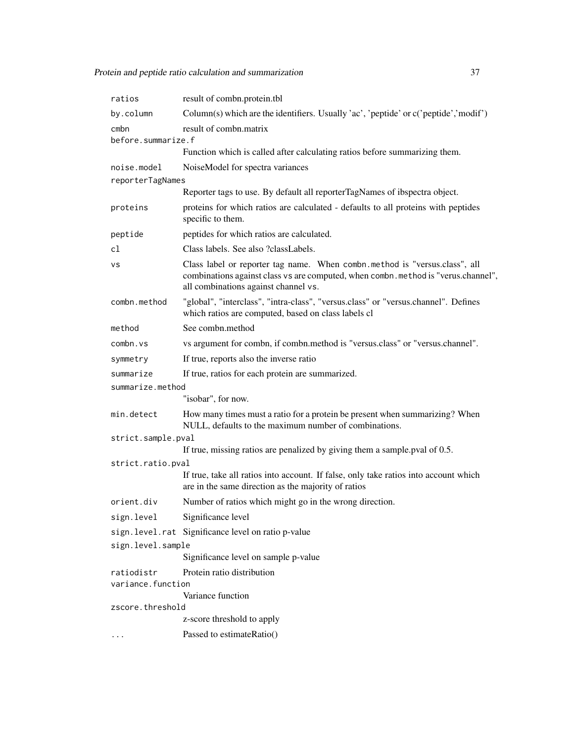| ratios                                                                                                    | result of combn.protein.tbl                                                                                                                                                                              |  |
|-----------------------------------------------------------------------------------------------------------|----------------------------------------------------------------------------------------------------------------------------------------------------------------------------------------------------------|--|
| by.column                                                                                                 | Column(s) which are the identifiers. Usually 'ac', 'peptide' or c('peptide','modif')                                                                                                                     |  |
| cmbn<br>before.summarize.f                                                                                | result of combn.matrix                                                                                                                                                                                   |  |
|                                                                                                           | Function which is called after calculating ratios before summarizing them.                                                                                                                               |  |
| noise.model<br>reporterTagNames                                                                           | NoiseModel for spectra variances                                                                                                                                                                         |  |
|                                                                                                           | Reporter tags to use. By default all reporterTagNames of ibspectra object.                                                                                                                               |  |
| proteins                                                                                                  | proteins for which ratios are calculated - defaults to all proteins with peptides<br>specific to them.                                                                                                   |  |
| peptide                                                                                                   | peptides for which ratios are calculated.                                                                                                                                                                |  |
| cl                                                                                                        | Class labels. See also ?classLabels.                                                                                                                                                                     |  |
| vs                                                                                                        | Class label or reporter tag name. When combn.method is "versus.class", all<br>combinations against class vs are computed, when combn. method is "verus.channel",<br>all combinations against channel vs. |  |
| combn.method                                                                                              | "global", "interclass", "intra-class", "versus.class" or "versus.channel". Defines<br>which ratios are computed, based on class labels cl                                                                |  |
| method                                                                                                    | See combn.method                                                                                                                                                                                         |  |
| combn.vs                                                                                                  | vs argument for combn, if combn.method is "versus.class" or "versus.channel".                                                                                                                            |  |
| symmetry                                                                                                  | If true, reports also the inverse ratio                                                                                                                                                                  |  |
| summarize                                                                                                 | If true, ratios for each protein are summarized.                                                                                                                                                         |  |
| summarize.method                                                                                          |                                                                                                                                                                                                          |  |
|                                                                                                           | "isobar", for now.                                                                                                                                                                                       |  |
| min.detect                                                                                                | How many times must a ratio for a protein be present when summarizing? When<br>NULL, defaults to the maximum number of combinations.                                                                     |  |
| strict.sample.pval                                                                                        |                                                                                                                                                                                                          |  |
| If true, missing ratios are penalized by giving them a sample pval of 0.5.                                |                                                                                                                                                                                                          |  |
| strict.ratio.pval<br>If true, take all ratios into account. If false, only take ratios into account which |                                                                                                                                                                                                          |  |
|                                                                                                           | are in the same direction as the majority of ratios                                                                                                                                                      |  |
| orient.div                                                                                                | Number of ratios which might go in the wrong direction.                                                                                                                                                  |  |
| sign.level                                                                                                | Significance level                                                                                                                                                                                       |  |
|                                                                                                           | sign.level.rat Significance level on ratio p-value                                                                                                                                                       |  |
| sign.level.sample                                                                                         |                                                                                                                                                                                                          |  |
|                                                                                                           | Significance level on sample p-value                                                                                                                                                                     |  |
| ratiodistr<br>variance.function                                                                           | Protein ratio distribution                                                                                                                                                                               |  |
|                                                                                                           | Variance function                                                                                                                                                                                        |  |
| zscore.threshold                                                                                          |                                                                                                                                                                                                          |  |
|                                                                                                           | z-score threshold to apply                                                                                                                                                                               |  |
|                                                                                                           | Passed to estimateRatio()                                                                                                                                                                                |  |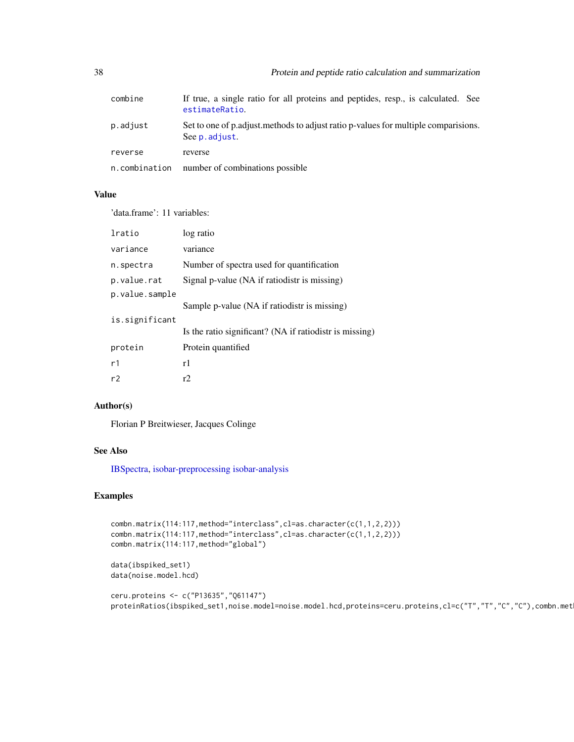| combine       | If true, a single ratio for all proteins and peptides, resp., is calculated. See<br>estimateRatio.     |
|---------------|--------------------------------------------------------------------------------------------------------|
| p.adjust      | Set to one of p. adjust. methods to adjust ratio p-values for multiple comparisions.<br>See p. adjust. |
| reverse       | reverse                                                                                                |
| n.combination | number of combinations possible                                                                        |

#### Value

'data.frame': 11 variables:

| lratio         | log ratio                                               |
|----------------|---------------------------------------------------------|
| variance       | variance                                                |
| n.spectra      | Number of spectra used for quantification               |
| p.value.rat    | Signal p-value (NA if ratiodistr is missing)            |
| p.value.sample |                                                         |
|                | Sample p-value (NA if ratiodistr is missing)            |
| is.significant |                                                         |
|                | Is the ratio significant? (NA if ratiodistr is missing) |
| protein        | Protein quantified                                      |
| r1             | r1                                                      |
| r2             | r <sub>2</sub>                                          |

## Author(s)

Florian P Breitwieser, Jacques Colinge

## See Also

[IBSpectra,](#page-16-1) [isobar-preprocessing](#page-26-2) [isobar-analysis](#page-20-2)

## Examples

```
combn.matrix(114:117,method="interclass",cl=as.character(c(1,1,2,2)))
combn.matrix(114:117,method="interclass",cl=as.character(c(1,1,2,2)))
combn.matrix(114:117,method="global")
```
data(ibspiked\_set1) data(noise.model.hcd)

```
ceru.proteins <- c("P13635","Q61147")
proteinRatios(ibspiked_set1,noise.model=noise.model.hcd,proteins=ceru.proteins,cl=c("T","T","C","C"),combn.met
```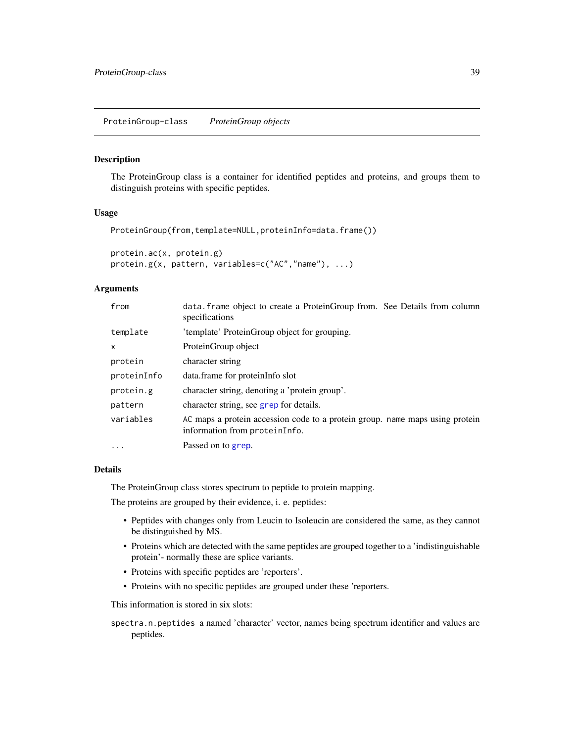## <span id="page-38-1"></span><span id="page-38-0"></span>Description

The ProteinGroup class is a container for identified peptides and proteins, and groups them to distinguish proteins with specific peptides.

#### Usage

```
ProteinGroup(from,template=NULL,proteinInfo=data.frame())
```

```
protein.ac(x, protein.g)
protein.g(x, pattern, variables=c("AC","name"), ...)
```
## Arguments

| from        | data. frame object to create a ProteinGroup from. See Details from column<br>specifications                   |
|-------------|---------------------------------------------------------------------------------------------------------------|
| template    | 'template' ProteinGroup object for grouping.                                                                  |
| X           | ProteinGroup object                                                                                           |
| protein     | character string                                                                                              |
| proteinInfo | data.frame for proteinInfo slot                                                                               |
| protein.g   | character string, denoting a 'protein group'.                                                                 |
| pattern     | character string, see grep for details.                                                                       |
| variables   | AC maps a protein accession code to a protein group. name maps using protein<br>information from proteinInfo. |
| $\ddotsc$   | Passed on to grep.                                                                                            |

## Details

The ProteinGroup class stores spectrum to peptide to protein mapping.

The proteins are grouped by their evidence, i. e. peptides:

- Peptides with changes only from Leucin to Isoleucin are considered the same, as they cannot be distinguished by MS.
- Proteins which are detected with the same peptides are grouped together to a 'indistinguishable protein'- normally these are splice variants.
- Proteins with specific peptides are 'reporters'.
- Proteins with no specific peptides are grouped under these 'reporters.

This information is stored in six slots:

spectra.n.peptides a named 'character' vector, names being spectrum identifier and values are peptides.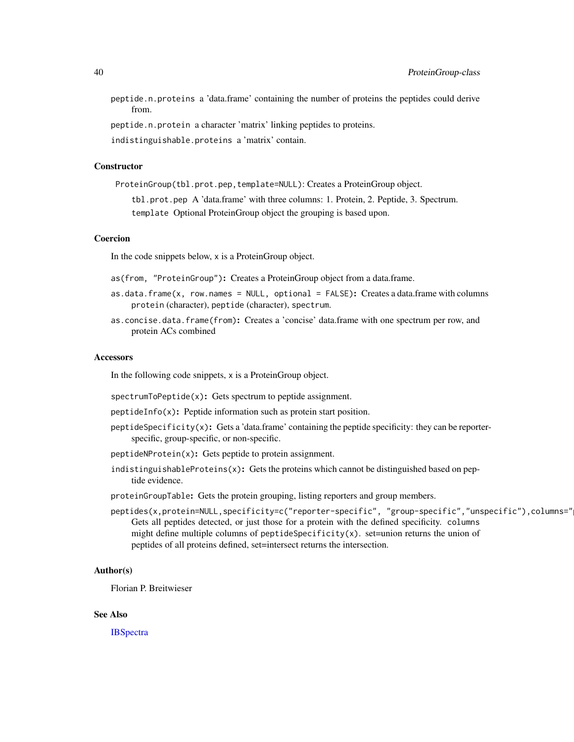peptide.n.proteins a 'data.frame' containing the number of proteins the peptides could derive from.

peptide.n.protein a character 'matrix' linking peptides to proteins.

indistinguishable.proteins a 'matrix' contain.

## **Constructor**

ProteinGroup(tbl.prot.pep,template=NULL): Creates a ProteinGroup object.

tbl.prot.pep A 'data.frame' with three columns: 1. Protein, 2. Peptide, 3. Spectrum. template Optional ProteinGroup object the grouping is based upon.

#### Coercion

In the code snippets below, x is a ProteinGroup object.

- as(from, "ProteinGroup"): Creates a ProteinGroup object from a data.frame.
- $as.data.fname(x, row.name = NULL, optional = FALSE): Create a data frame with columns$ protein (character), peptide (character), spectrum.
- as.concise.data.frame(from): Creates a 'concise' data.frame with one spectrum per row, and protein ACs combined

#### Accessors

In the following code snippets, x is a ProteinGroup object.

spectrumToPeptide(x): Gets spectrum to peptide assignment.

- peptideInfo(x): Peptide information such as protein start position.
- peptideSpecificity( $x$ ): Gets a 'data.frame' containing the peptide specificity: they can be reporterspecific, group-specific, or non-specific.
- peptideNProtein(x): Gets peptide to protein assignment.
- indistinguishableProteins $(x)$ : Gets the proteins which cannot be distinguished based on peptide evidence.
- proteinGroupTable: Gets the protein grouping, listing reporters and group members.
- peptides(x,protein=NULL,specificity=c("reporter-specific", "group-specific","unspecific"),columns=" Gets all peptides detected, or just those for a protein with the defined specificity. columns might define multiple columns of peptideSpecificity $(x)$ . set=union returns the union of peptides of all proteins defined, set=intersect returns the intersection.

#### Author(s)

Florian P. Breitwieser

#### See Also

**[IBSpectra](#page-16-1)**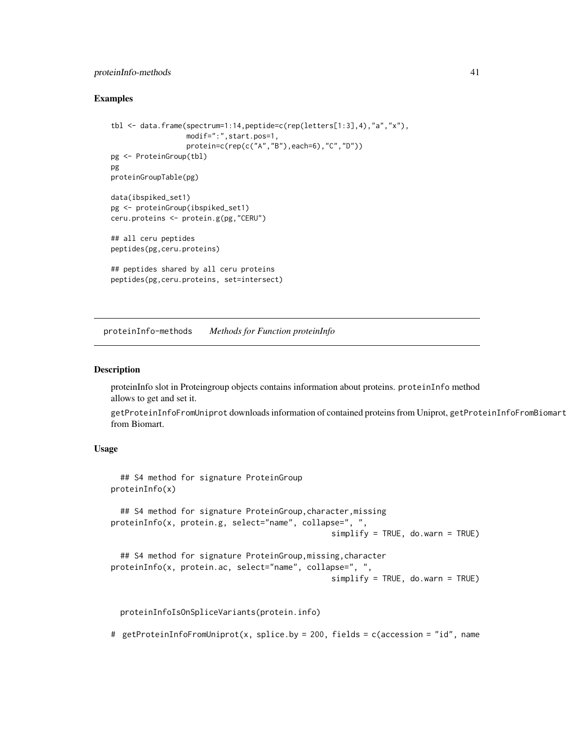## <span id="page-40-0"></span>proteinInfo-methods 41

#### Examples

```
tbl <- data.frame(spectrum=1:14,peptide=c(rep(letters[1:3],4),"a","x"),
                  modif=":",start.pos=1,
                  protein=c(rep(c("A","B"),each=6),"C","D"))
pg <- ProteinGroup(tbl)
pg
proteinGroupTable(pg)
data(ibspiked_set1)
pg <- proteinGroup(ibspiked_set1)
ceru.proteins <- protein.g(pg,"CERU")
## all ceru peptides
peptides(pg,ceru.proteins)
## peptides shared by all ceru proteins
peptides(pg,ceru.proteins, set=intersect)
```
proteinInfo-methods *Methods for Function proteinInfo*

#### <span id="page-40-1"></span>Description

proteinInfo slot in Proteingroup objects contains information about proteins. proteinInfo method allows to get and set it.

getProteinInfoFromUniprot downloads information of contained proteins from Uniprot, getProteinInfoFromBiomart from Biomart.

## Usage

```
## S4 method for signature ProteinGroup
proteinInfo(x)
  ## S4 method for signature ProteinGroup, character, missing
proteinInfo(x, protein.g, select="name", collapse=", ",
                                                simplify = TRUE, do. warn = TRUE)## S4 method for signature ProteinGroup,missing,character
proteinInfo(x, protein.ac, select="name", collapse=", ",
                                                simplify = TRUE, do. warn = TRUE
```
proteinInfoIsOnSpliceVariants(protein.info)

# getProteinInfoFromUniprot(x, splice.by = 200, fields = c(accession = "id", name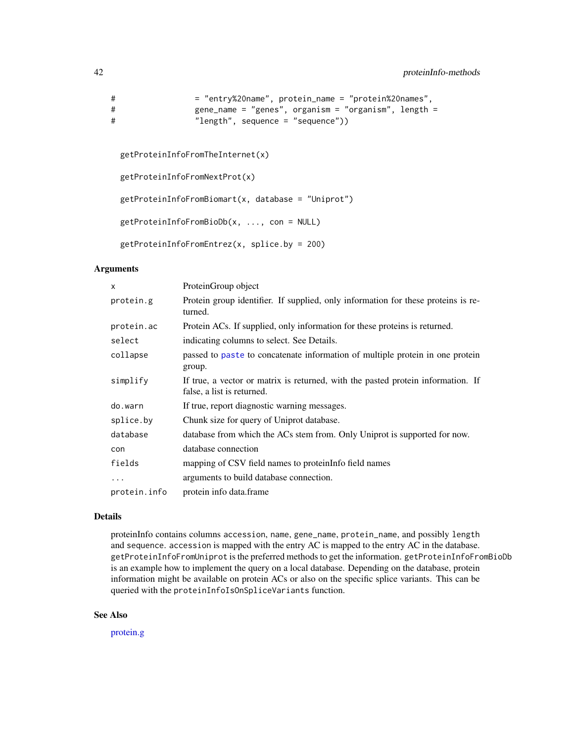```
# = "entry%20name", protein_name = "protein%20names",
# gene_name = "genes", organism = "organism", length =
# "length", sequence = "sequence"))
```

```
getProteinInfoFromTheInternet(x)
```

```
getProteinInfoFromNextProt(x)
```
getProteinInfoFromBiomart(x, database = "Uniprot")

```
getProteinInfoFromBioDb(x, ..., con = NULL)
```

```
getProteinInfoFromEntrez(x, splice.by = 200)
```
#### Arguments

| X            | ProteinGroup object                                                                                            |
|--------------|----------------------------------------------------------------------------------------------------------------|
| protein.g    | Protein group identifier. If supplied, only information for these proteins is re-<br>turned.                   |
| protein.ac   | Protein ACs. If supplied, only information for these proteins is returned.                                     |
| select       | indicating columns to select. See Details.                                                                     |
| collapse     | passed to paste to concatenate information of multiple protein in one protein<br>group.                        |
| simplify     | If true, a vector or matrix is returned, with the pasted protein information. If<br>false, a list is returned. |
| do.warn      | If true, report diagnostic warning messages.                                                                   |
| splice.by    | Chunk size for query of Uniprot database.                                                                      |
| database     | database from which the ACs stem from. Only Uniprot is supported for now.                                      |
| con          | database connection                                                                                            |
| fields       | mapping of CSV field names to proteinInfo field names                                                          |
| $\ddots$     | arguments to build database connection.                                                                        |
| protein.info | protein info data.frame                                                                                        |

#### Details

proteinInfo contains columns accession, name, gene\_name, protein\_name, and possibly length and sequence. accession is mapped with the entry AC is mapped to the entry AC in the database. getProteinInfoFromUniprot is the preferred methods to get the information. getProteinInfoFromBioDb is an example how to implement the query on a local database. Depending on the database, protein information might be available on protein ACs or also on the specific splice variants. This can be queried with the proteinInfoIsOnSpliceVariants function.

## See Also

[protein.g](#page-38-1)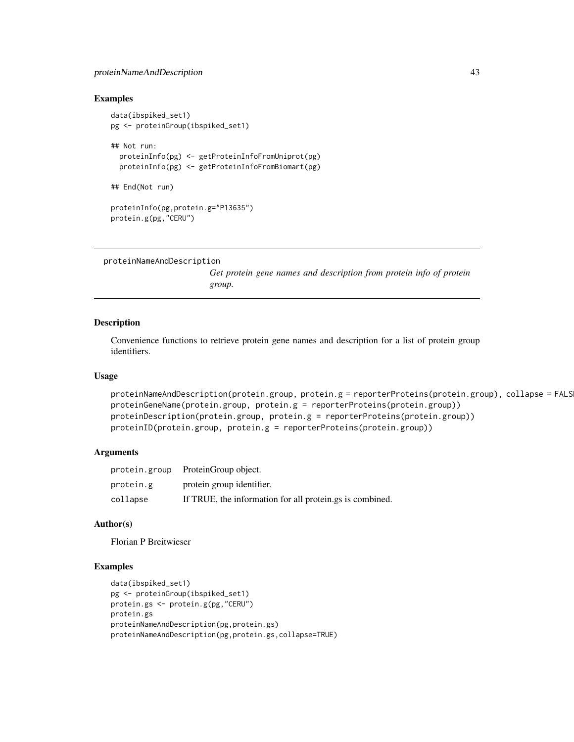## <span id="page-42-0"></span>proteinNameAndDescription 43

#### Examples

```
data(ibspiked_set1)
pg <- proteinGroup(ibspiked_set1)
## Not run:
  proteinInfo(pg) <- getProteinInfoFromUniprot(pg)
  proteinInfo(pg) <- getProteinInfoFromBiomart(pg)
## End(Not run)
proteinInfo(pg,protein.g="P13635")
protein.g(pg,"CERU")
```

```
proteinNameAndDescription
```
*Get protein gene names and description from protein info of protein group.*

#### Description

Convenience functions to retrieve protein gene names and description for a list of protein group identifiers.

## Usage

```
proteinNameAndDescription(protein.group, protein.g = reporterProteins(protein.group), collapse = FALS
proteinGeneName(protein.group, protein.g = reporterProteins(protein.group))
proteinDescription(protein.group, protein.g = reporterProteins(protein.group))
proteinID(protein.group, protein.g = reporterProteins(protein.group))
```
## Arguments

|           | protein.group ProteinGroup object.                       |
|-----------|----------------------------------------------------------|
| protein.g | protein group identifier.                                |
| collapse  | If TRUE, the information for all protein.gs is combined. |

#### Author(s)

Florian P Breitwieser

#### Examples

```
data(ibspiked_set1)
pg <- proteinGroup(ibspiked_set1)
protein.gs <- protein.g(pg,"CERU")
protein.gs
proteinNameAndDescription(pg,protein.gs)
proteinNameAndDescription(pg,protein.gs,collapse=TRUE)
```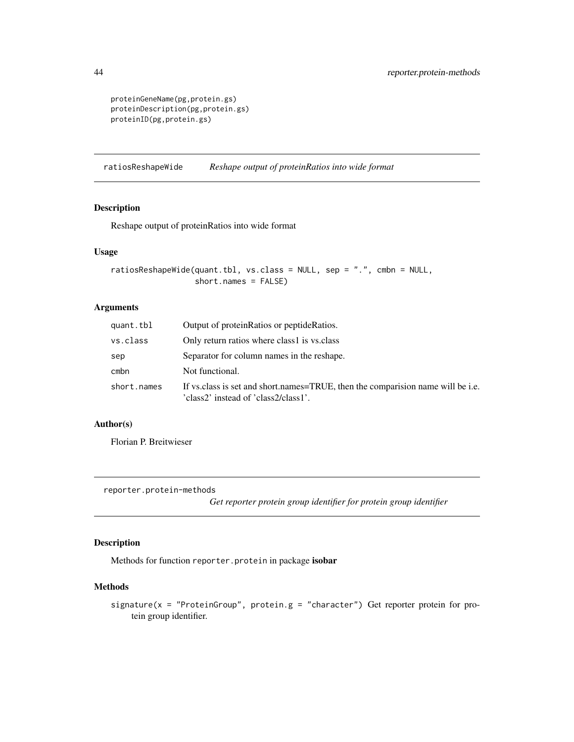```
proteinGeneName(pg,protein.gs)
proteinDescription(pg,protein.gs)
proteinID(pg,protein.gs)
```
ratiosReshapeWide *Reshape output of proteinRatios into wide format*

## Description

Reshape output of proteinRatios into wide format

## Usage

```
ratiosReshapeWide(quant.tbl, vs.class = NULL, sep = ".", cmbn = NULL,
                  short.names = FALSE)
```
## Arguments

| quant.tbl   | Output of protein Ratios or peptide Ratios.                                                                              |
|-------------|--------------------------------------------------------------------------------------------------------------------------|
| vs.class    | Only return ratios where class1 is vs.class                                                                              |
| sep         | Separator for column names in the reshape.                                                                               |
| cmbn        | Not functional.                                                                                                          |
| short.names | If vs. class is set and short.names=TRUE, then the comparision name will be i.e.<br>'class2' instead of 'class2/class1'. |

## Author(s)

Florian P. Breitwieser

reporter.protein-methods

*Get reporter protein group identifier for protein group identifier*

## Description

Methods for function reporter.protein in package isobar

## Methods

signature( $x =$  "ProteinGroup", protein.g = "character") Get reporter protein for protein group identifier.

<span id="page-43-0"></span>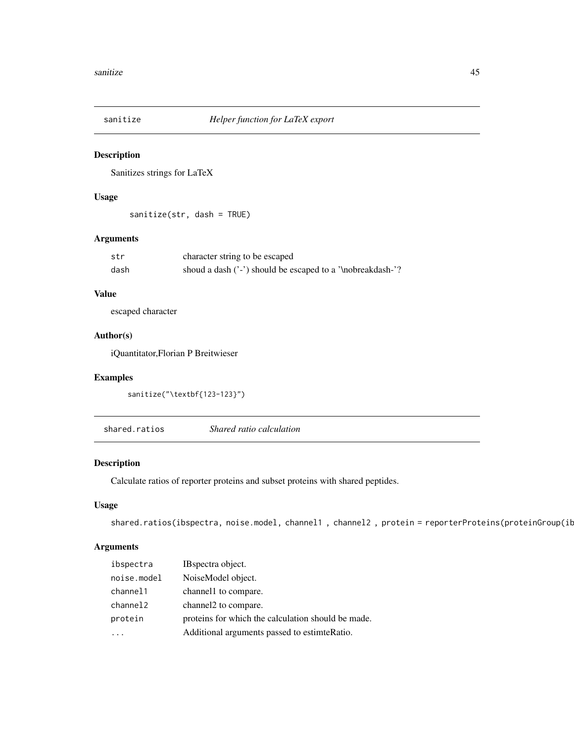<span id="page-44-0"></span>

## Description

Sanitizes strings for LaTeX

## Usage

sanitize(str, dash = TRUE)

## Arguments

| str  | character string to be escaped                             |
|------|------------------------------------------------------------|
| dash | shoud a dash ('-') should be escaped to a '\nobreakdash-'? |

## Value

escaped character

## Author(s)

iQuantitator,Florian P Breitwieser

## Examples

```
sanitize("\textbf{123-123}")
```
<span id="page-44-1"></span>shared.ratios *Shared ratio calculation*

## Description

Calculate ratios of reporter proteins and subset proteins with shared peptides.

## Usage

```
shared.ratios(ibspectra, noise.model, channel1, channel2, protein = reporterProteins(proteinGroup(ib
```
## Arguments

| ibspectra   | IB spectra object.                                 |
|-------------|----------------------------------------------------|
| noise.model | NoiseModel object.                                 |
| channel1    | channel 1 to compare.                              |
| channel2    | channel 2 to compare.                              |
| protein     | proteins for which the calculation should be made. |
|             | Additional arguments passed to estimte Ratio.      |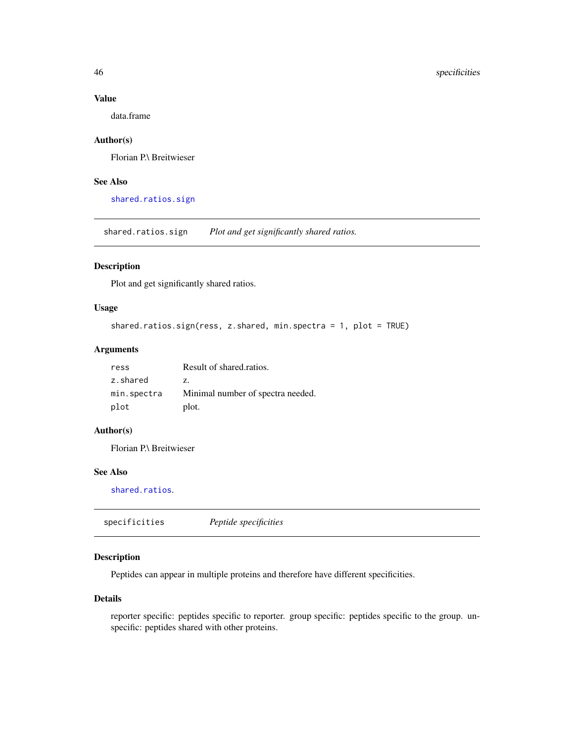## Value

data.frame

## Author(s)

Florian P.\ Breitwieser

## See Also

[shared.ratios.sign](#page-45-2)

<span id="page-45-2"></span>shared.ratios.sign *Plot and get significantly shared ratios.*

## Description

Plot and get significantly shared ratios.

## Usage

```
shared.ratios.sign(ress, z.shared, min.spectra = 1, plot = TRUE)
```
## Arguments

| ress        | Result of shared.ratios.          |
|-------------|-----------------------------------|
| z.shared    | Z.                                |
| min.spectra | Minimal number of spectra needed. |
| plot        | plot.                             |

#### Author(s)

Florian P.\ Breitwieser

## See Also

[shared.ratios](#page-44-1).

<span id="page-45-1"></span>specificities *Peptide specificities*

## Description

Peptides can appear in multiple proteins and therefore have different specificities.

## Details

reporter specific: peptides specific to reporter. group specific: peptides specific to the group. unspecific: peptides shared with other proteins.

<span id="page-45-0"></span>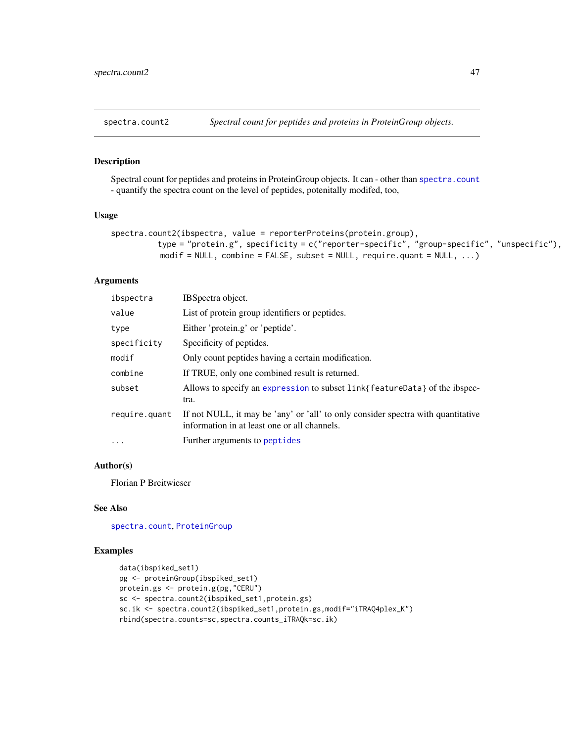<span id="page-46-0"></span>

## Description

Spectral count for peptides and proteins in ProteinGroup objects. It can - other than [spectra.count](#page-34-1) - quantify the spectra count on the level of peptides, potenitally modifed, too,

## Usage

```
spectra.count2(ibspectra, value = reporterProteins(protein.group),
          type = "protein.g", specificity = c("reporter-specific", "group-specific", "unspecific"),
          modif = NULL, combine = FALSE, subset = NULL, require.quant = NULL, \dots)
```
## Arguments

| ibspectra     | IBSpectra object.                                                                                                                |
|---------------|----------------------------------------------------------------------------------------------------------------------------------|
| value         | List of protein group identifiers or peptides.                                                                                   |
| type          | Either 'protein.g' or 'peptide'.                                                                                                 |
| specificity   | Specificity of peptides.                                                                                                         |
| modif         | Only count peptides having a certain modification.                                                                               |
| combine       | If TRUE, only one combined result is returned.                                                                                   |
| subset        | Allows to specify an expression to subset link{featureData} of the ibspec-<br>tra.                                               |
| require.quant | If not NULL, it may be 'any' or 'all' to only consider spectra with quantitative<br>information in at least one or all channels. |
| $\ddotsc$     | Further arguments to peptides                                                                                                    |

## Author(s)

Florian P Breitwieser

#### See Also

[spectra.count](#page-34-1), [ProteinGroup](#page-38-1)

## Examples

```
data(ibspiked_set1)
pg <- proteinGroup(ibspiked_set1)
protein.gs <- protein.g(pg,"CERU")
sc <- spectra.count2(ibspiked_set1,protein.gs)
sc.ik <- spectra.count2(ibspiked_set1,protein.gs,modif="iTRAQ4plex_K")
rbind(spectra.counts=sc,spectra.counts_iTRAQk=sc.ik)
```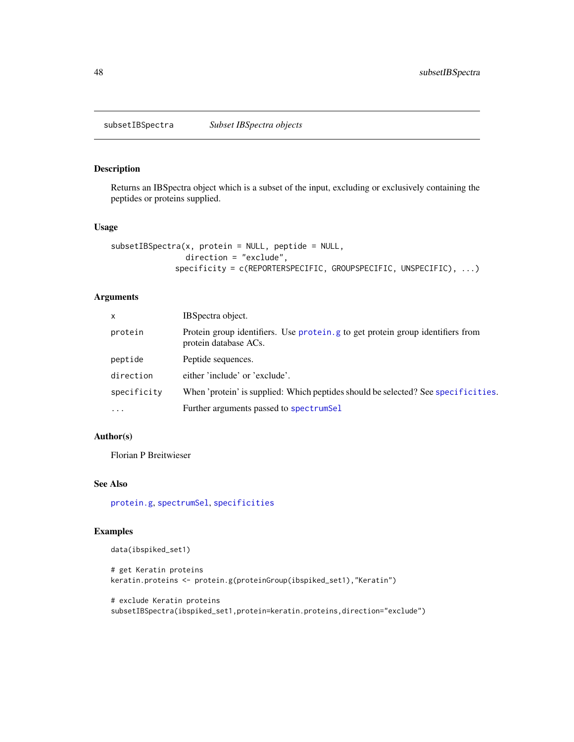<span id="page-47-1"></span><span id="page-47-0"></span>subsetIBSpectra *Subset IBSpectra objects*

## Description

Returns an IBSpectra object which is a subset of the input, excluding or exclusively containing the peptides or proteins supplied.

## Usage

```
subsetIBSpectra(x, protein = NULL, peptide = NULL,
                direction = "exclude",
             specificity = c(REPORTERSPECIFIC, GROUPSPECIFIC, UNSPECIFIC), ...)
```
## Arguments

| x           | IBSpectra object.                                                                                       |
|-------------|---------------------------------------------------------------------------------------------------------|
| protein     | Protein group identifiers. Use protein g to get protein group identifiers from<br>protein database ACs. |
| peptide     | Peptide sequences.                                                                                      |
| direction   | either 'include' or 'exclude'.                                                                          |
| specificity | When 'protein' is supplied: Which peptides should be selected? See specificities.                       |
| $\cdots$    | Further arguments passed to spectrumSel                                                                 |

## Author(s)

Florian P Breitwieser

#### See Also

[protein.g](#page-38-1), [spectrumSel](#page-16-1), [specificities](#page-45-1)

## Examples

```
data(ibspiked_set1)
```

```
# get Keratin proteins
keratin.proteins <- protein.g(proteinGroup(ibspiked_set1),"Keratin")
```

```
# exclude Keratin proteins
subsetIBSpectra(ibspiked_set1,protein=keratin.proteins,direction="exclude")
```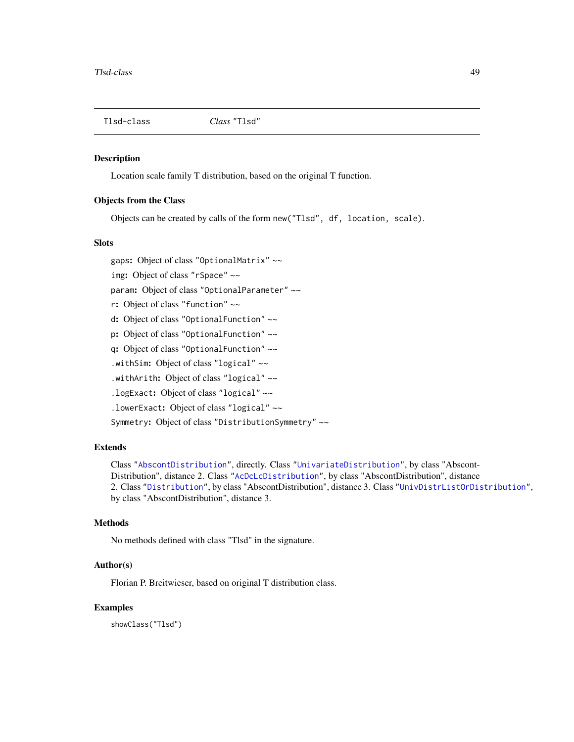<span id="page-48-1"></span><span id="page-48-0"></span>

#### Description

Location scale family T distribution, based on the original T function.

## Objects from the Class

Objects can be created by calls of the form new("Tlsd", df, location, scale).

## **Slots**

gaps: Object of class "OptionalMatrix" ~~

img: Object of class "rSpace" ~~

param: Object of class "OptionalParameter" ~~

r: Object of class "function" ~~

d: Object of class "OptionalFunction" ~~

p: Object of class "OptionalFunction" ~~

q: Object of class "OptionalFunction" ~~

.withSim: Object of class "logical" ~~

.withArith: Object of class "logical" ~~

.logExact: Object of class "logical" ~~

.lowerExact: Object of class "logical" ~~

Symmetry: Object of class "DistributionSymmetry" ~~

## Extends

Class ["AbscontDistribution"](#page-0-0), directly. Class ["UnivariateDistribution"](#page-0-0), by class "Abscont-Distribution", distance 2. Class ["AcDcLcDistribution"](#page-0-0), by class "AbscontDistribution", distance 2. Class ["Distribution"](#page-0-0), by class "AbscontDistribution", distance 3. Class ["UnivDistrListOrDistribution"](#page-0-0), by class "AbscontDistribution", distance 3.

## Methods

No methods defined with class "Tlsd" in the signature.

#### Author(s)

Florian P. Breitwieser, based on original T distribution class.

#### Examples

showClass("Tlsd")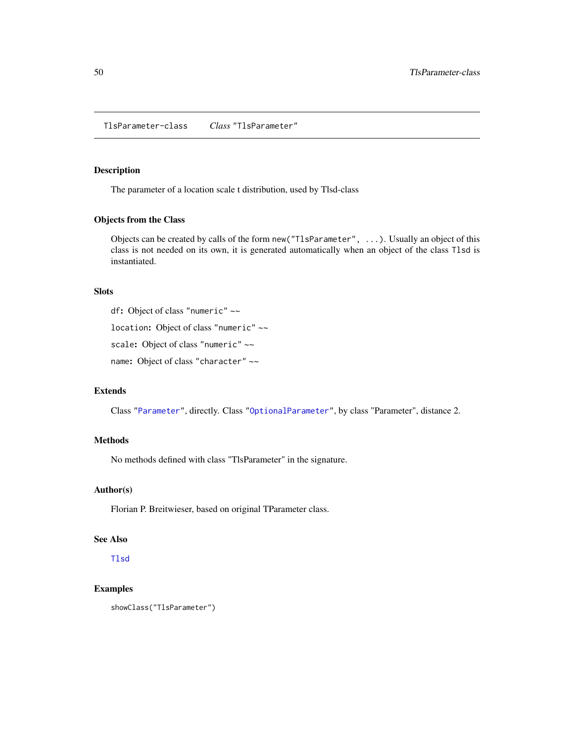<span id="page-49-0"></span>TlsParameter-class *Class* "TlsParameter"

## Description

The parameter of a location scale t distribution, used by Tlsd-class

#### Objects from the Class

Objects can be created by calls of the form new("TlsParameter", ...). Usually an object of this class is not needed on its own, it is generated automatically when an object of the class Tlsd is instantiated.

#### Slots

df: Object of class "numeric" ~~

location: Object of class "numeric" ~~

scale: Object of class "numeric" ~~

name: Object of class "character" ~~

## Extends

Class ["Parameter"](#page-0-0), directly. Class ["OptionalParameter"](#page-0-0), by class "Parameter", distance 2.

#### Methods

No methods defined with class "TlsParameter" in the signature.

## Author(s)

Florian P. Breitwieser, based on original TParameter class.

#### See Also

[Tlsd](#page-48-1)

## Examples

```
showClass("TlsParameter")
```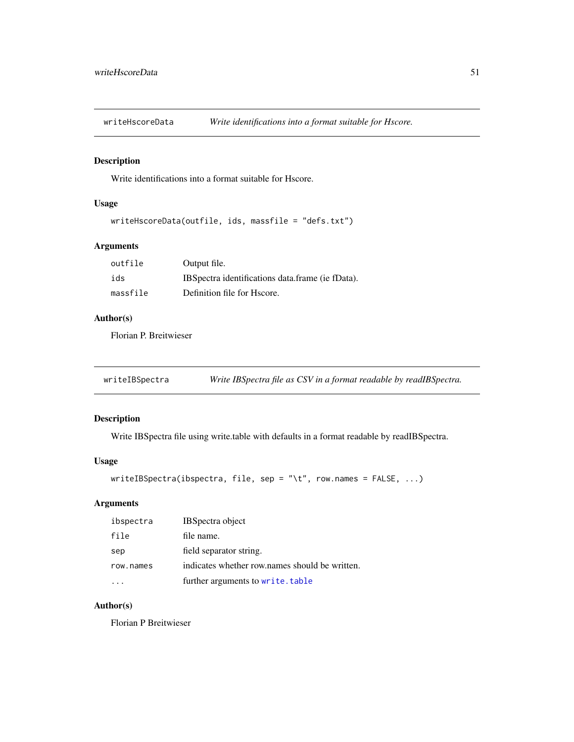<span id="page-50-0"></span>

## Description

Write identifications into a format suitable for Hscore.

## Usage

```
writeHscoreData(outfile, ids, massfile = "defs.txt")
```
## Arguments

| outfile  | Output file.                                      |
|----------|---------------------------------------------------|
| ids      | IBS pectra identifications data frame (ie fData). |
| massfile | Definition file for Hscore.                       |

## Author(s)

Florian P. Breitwieser

writeIBSpectra *Write IBSpectra file as CSV in a format readable by readIBSpectra.*

## Description

Write IBSpectra file using write.table with defaults in a format readable by readIBSpectra.

## Usage

```
writeIBSpectra(ibspectra, file, sep = "\t", row.names = FALSE, ...)
```
## Arguments

| ibspectra | <b>IBSpectra object</b>                        |
|-----------|------------------------------------------------|
| file      | file name.                                     |
| sep       | field separator string.                        |
| row.names | indicates whether row names should be written. |
|           | further arguments to write.table               |

#### Author(s)

Florian P Breitwieser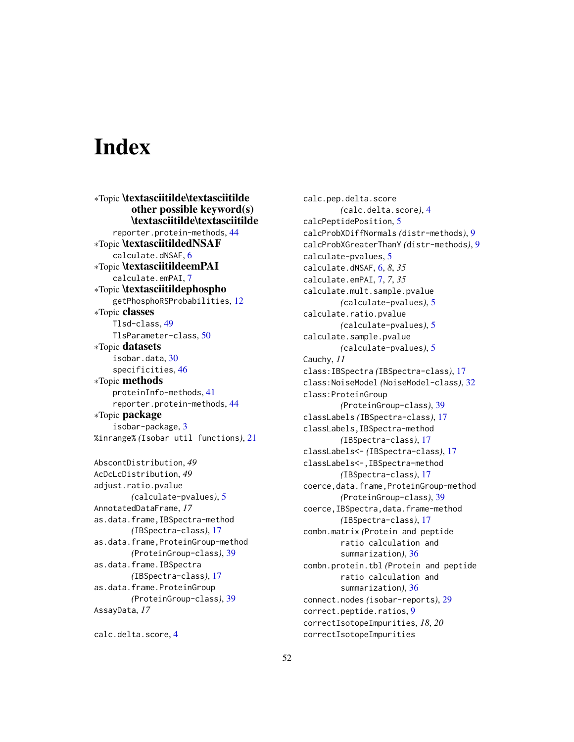# <span id="page-51-0"></span>**Index**

∗Topic \textasciitilde\textasciitilde other possible keyword(s) \textasciitilde\textasciitilde reporter.protein-methods, [44](#page-43-0) ∗Topic \textasciitildedNSAF calculate.dNSAF, [6](#page-5-0) ∗Topic \textasciitildeemPAI calculate.emPAI, [7](#page-6-0) ∗Topic \textasciitildephospho getPhosphoRSProbabilities, [12](#page-11-0) ∗Topic classes Tlsd-class, [49](#page-48-0) TlsParameter-class, [50](#page-49-0) ∗Topic datasets isobar.data, [30](#page-29-0) specificities, [46](#page-45-0) ∗Topic methods proteinInfo-methods, [41](#page-40-0) reporter.protein-methods, [44](#page-43-0) ∗Topic package isobar-package, [3](#page-2-0) %inrange% *(*Isobar util functions*)*, [21](#page-20-0) AbscontDistribution, *49* AcDcLcDistribution, *49* adjust.ratio.pvalue *(*calculate-pvalues*)*, [5](#page-4-0) AnnotatedDataFrame, *17* as.data.frame,IBSpectra-method *(*IBSpectra-class*)*, [17](#page-16-0) as.data.frame,ProteinGroup-method *(*ProteinGroup-class*)*, [39](#page-38-0) as.data.frame.IBSpectra *(*IBSpectra-class*)*, [17](#page-16-0) as.data.frame.ProteinGroup *(*ProteinGroup-class*)*, [39](#page-38-0) AssayData, *17*

calc.delta.score, [4](#page-3-0)

calc.pep.delta.score *(*calc.delta.score*)*, [4](#page-3-0) calcPeptidePosition, [5](#page-4-0) calcProbXDiffNormals *(*distr-methods*)*, [9](#page-8-0) calcProbXGreaterThanY *(*distr-methods*)*, [9](#page-8-0) calculate-pvalues, [5](#page-4-0) calculate.dNSAF, [6,](#page-5-0) *8*, *35* calculate.emPAI, [7,](#page-6-0) *7*, *35* calculate.mult.sample.pvalue *(*calculate-pvalues*)*, [5](#page-4-0) calculate.ratio.pvalue *(*calculate-pvalues*)*, [5](#page-4-0) calculate.sample.pvalue *(*calculate-pvalues*)*, [5](#page-4-0) Cauchy, *11* class:IBSpectra *(*IBSpectra-class*)*, [17](#page-16-0) class:NoiseModel *(*NoiseModel-class*)*, [32](#page-31-0) class:ProteinGroup *(*ProteinGroup-class*)*, [39](#page-38-0) classLabels *(*IBSpectra-class*)*, [17](#page-16-0) classLabels,IBSpectra-method *(*IBSpectra-class*)*, [17](#page-16-0) classLabels<- *(*IBSpectra-class*)*, [17](#page-16-0) classLabels<-,IBSpectra-method *(*IBSpectra-class*)*, [17](#page-16-0) coerce,data.frame,ProteinGroup-method *(*ProteinGroup-class*)*, [39](#page-38-0) coerce,IBSpectra,data.frame-method *(*IBSpectra-class*)*, [17](#page-16-0) combn.matrix *(*Protein and peptide ratio calculation and summarization*)*, [36](#page-35-0) combn.protein.tbl *(*Protein and peptide ratio calculation and summarization*)*, [36](#page-35-0) connect.nodes *(*isobar-reports*)*, [29](#page-28-0) correct.peptide.ratios, [9](#page-8-0) correctIsotopeImpurities, *18*, *20* correctIsotopeImpurities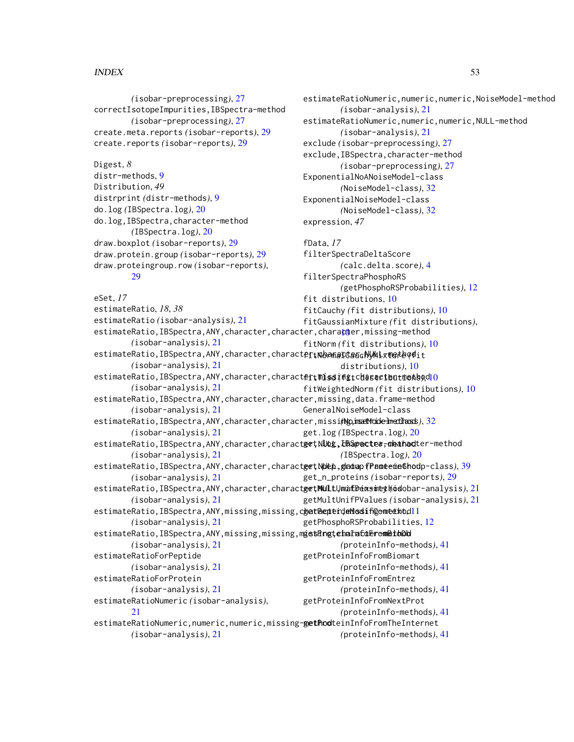#### $I<sub>N</sub>DEX$  53

*(*isobar-preprocessing*)*, [27](#page-26-0) correctIsotopeImpurities,IBSpectra-method *(*isobar-preprocessing*)*, [27](#page-26-0) create.meta.reports *(*isobar-reports*)*, [29](#page-28-0) create.reports *(*isobar-reports*)*, [29](#page-28-0) Digest, *8* distr-methods, [9](#page-8-0) Distribution, *49* distrprint *(*distr-methods*)*, [9](#page-8-0) do.log *(*IBSpectra.log*)*, [20](#page-19-0) do.log,IBSpectra,character-method *(*IBSpectra.log*)*, [20](#page-19-0) draw.boxplot *(*isobar-reports*)*, [29](#page-28-0) draw.protein.group *(*isobar-reports*)*, [29](#page-28-0) draw.proteingroup.row *(*isobar-reports*)*, [29](#page-28-0) eSet, *17* estimateRatio, *18*, *38* estimateRatio *(*isobar-analysis*)*, [21](#page-20-0) estimateRatio,IBSpectra,ANY,char[act](#page-9-0)er,character,chara<mark>c</mark>ter,missing-method *(*isobar-analysis*)*, [21](#page-20-0) estimateRatio,IBSpectra,ANY,character,charact**er,RoanaItauchyMixture**odit *(*isobar-analysis*)*, [21](#page-20-0) estimateRatio,IBSpectra,ANY,character,charact**ertMissiffgtchasactbut@ekb**odlO *(*isobar-analysis*)*, [21](#page-20-0) estimateRatio,IBSpectra,ANY,character,character,missing,data.frame-method *(*isobar-analysis*)*, [21](#page-20-0) estimateRatio,IBSpectra,ANY,character,character,missi**ng,imetMode-InetImass**),[32](#page-31-0) *(*isobar-analysis*)*, [21](#page-20-0) estimateRatio,IBSpectra,ANY,character,charact**get\NUbg,EBSpecte#<del>,</del>oleahad**ter-method *(*isobar-analysis*)*, [21](#page-20-0) estimateRatio,IBSpectra,ANY,character,charact**get\NDep.gladuapfPameemeGhod**p-class),[39](#page-38-0) *(*isobar-analysis*)*, [21](#page-20-0) estimateRatio,IBSpectra,ANY,character,character,NULL,matrix-method getMultUnifDensity *(*isobar-analysis*)*, [21](#page-20-0) *(*isobar-analysis*)*, [21](#page-20-0) estimateRatio,IBSpectra,ANY,missing,missing,c**hatPepterdeMosif@omeekbdll** *(*isobar-analysis*)*, [21](#page-20-0) estimateRatio,IBSpectra,ANY,missing,missing,m**getRngtehaFafdErometbDd** *(*isobar-analysis*)*, [21](#page-20-0) estimateRatioForPeptide *(*isobar-analysis*)*, [21](#page-20-0) estimateRatioForProtein *(*isobar-analysis*)*, [21](#page-20-0) estimateRatioNumeric *(*isobar-analysis*)*,  $21$ estimateRatioNumeric,numeric,numeric,missing-gethodteinInfoFromTheInternet *(*isobar-analysis*)*, [21](#page-20-0) estimateRatioNumeric,numeric,numeric,NoiseModel-method *(*isobar-analysis*)*, [21](#page-20-0) estimateRatioNumeric,numeric,numeric,NULL-method *(*isobar-analysis*)*, [21](#page-20-0) exclude *(*isobar-preprocessing*)*, [27](#page-26-0) exclude,IBSpectra,character-method *(*isobar-preprocessing*)*, [27](#page-26-0) ExponentialNoANoiseModel-class *(*NoiseModel-class*)*, [32](#page-31-0) ExponentialNoiseModel-class *(*NoiseModel-class*)*, [32](#page-31-0) expression, *47* fData, *17* filterSpectraDeltaScore *(*calc.delta.score*)*, [4](#page-3-0) filterSpectraPhosphoRS *(*getPhosphoRSProbabilities*)*, [12](#page-11-0) fit distributions, [10](#page-9-0) fitCauchy *(*fit distributions*)*, [10](#page-9-0) fitGaussianMixture *(*fit distributions*)*, fitNorm *(*fit distributions*)*, [10](#page-9-0) distributions*)*, [10](#page-9-0) fitWeightedNorm *(*fit distributions*)*, [10](#page-9-0) GeneralNoiseModel-class get.log *(*IBSpectra.log*)*, [20](#page-19-0) *(*IBSpectra.log*)*, [20](#page-19-0) get\_n\_proteins *(*isobar-reports*)*, [29](#page-28-0) getMultUnifPValues *(*isobar-analysis*)*, [21](#page-20-0) getPhosphoRSProbabilities, [12](#page-11-0) *(*proteinInfo-methods*)*, [41](#page-40-0) getProteinInfoFromBiomart *(*proteinInfo-methods*)*, [41](#page-40-0) getProteinInfoFromEntrez *(*proteinInfo-methods*)*, [41](#page-40-0) getProteinInfoFromNextProt *(*proteinInfo-methods*)*, [41](#page-40-0) *(*proteinInfo-methods*)*, [41](#page-40-0)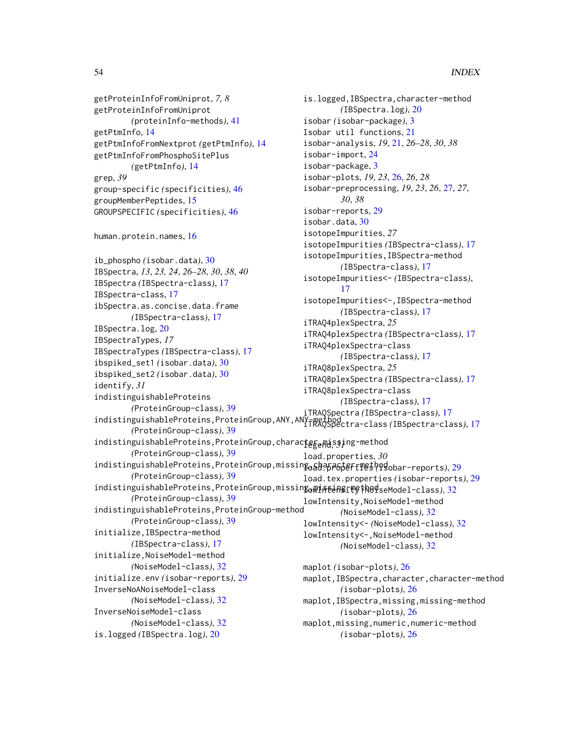getProteinInfoFromUniprot, *7, 8* getProteinInfoFromUniprot *(*proteinInfo-methods*)*, [41](#page-40-0) getPtmInfo, [14](#page-13-0) getPtmInfoFromNextprot *(*getPtmInfo*)*, [14](#page-13-0) getPtmInfoFromPhosphoSitePlus *(*getPtmInfo*)*, [14](#page-13-0) grep, *39* group-specific *(*specificities*)*, [46](#page-45-0) groupMemberPeptides, [15](#page-14-0) GROUPSPECIFIC *(*specificities*)*, [46](#page-45-0) human.protein.names, [16](#page-15-0) ib\_phospho *(*isobar.data*)*, [30](#page-29-0) IBSpectra, *13*, *23, 24*, *26–28*, *30*, *38*, *40* IBSpectra *(*IBSpectra-class*)*, [17](#page-16-0) IBSpectra-class, [17](#page-16-0) ibSpectra.as.concise.data.frame *(*IBSpectra-class*)*, [17](#page-16-0) IBSpectra.log, [20](#page-19-0) IBSpectraTypes, *17* IBSpectraTypes *(*IBSpectra-class*)*, [17](#page-16-0) ibspiked\_set1 *(*isobar.data*)*, [30](#page-29-0) ibspiked\_set2 *(*isobar.data*)*, [30](#page-29-0) identify, *31* indistinguishableProteins *(*ProteinGroup-class*)*, [39](#page-38-0) indistinguishableProteins,ProteinGroup,ANY,ANY-method iTRAQSpectra-class *(*IBSpectra-class*)*, [17](#page-16-0) *(*ProteinGroup-class*)*, [39](#page-38-0) indistinguishableProteins,ProteinGroup,charac**teg<sub>e</sub>na**ssing-method *(*ProteinGroup-class*)*, [39](#page-38-0) indistinguishableProteins,ProteinGroup,missing,character-method load.properties *(*isobar-reports*)*, [29](#page-28-0) *(*ProteinGroup-class*)*, [39](#page-38-0) indistinguishableProteins,ProteinGroup,missin**g<sub>o</sub>wiseangity (h04**seModel-class), [32](#page-31-0) *(*ProteinGroup-class*)*, [39](#page-38-0) indistinguishableProteins,ProteinGroup-method *(*ProteinGroup-class*)*, [39](#page-38-0) initialize,IBSpectra-method *(*IBSpectra-class*)*, [17](#page-16-0) initialize,NoiseModel-method *(*NoiseModel-class*)*, [32](#page-31-0) initialize.env *(*isobar-reports*)*, [29](#page-28-0) InverseNoANoiseModel-class *(*NoiseModel-class*)*, [32](#page-31-0) InverseNoiseModel-class *(*NoiseModel-class*)*, [32](#page-31-0) is.logged *(*IBSpectra.log*)*, [20](#page-19-0) is.logged,IBSpectra,character-method *(*IBSpectra.log*)*, [20](#page-19-0) isobar *(*isobar-package*)*, [3](#page-2-0) Isobar util functions, [21](#page-20-0) isobar-analysis, *19*, [21,](#page-20-0) *26–28*, *30*, *38* isobar-import, [24](#page-23-0) isobar-package, [3](#page-2-0) isobar-plots, *19*, *23*, [26,](#page-25-0) *26*, *28* isobar-preprocessing, *19*, *23*, *26*, [27,](#page-26-0) *27*, *30*, *38* isobar-reports, [29](#page-28-0) isobar.data, [30](#page-29-0) isotopeImpurities, *27* isotopeImpurities *(*IBSpectra-class*)*, [17](#page-16-0) isotopeImpurities,IBSpectra-method *(*IBSpectra-class*)*, [17](#page-16-0) isotopeImpurities<- *(*IBSpectra-class*)*, [17](#page-16-0) isotopeImpurities<-,IBSpectra-method *(*IBSpectra-class*)*, [17](#page-16-0) iTRAQ4plexSpectra, *25* iTRAQ4plexSpectra *(*IBSpectra-class*)*, [17](#page-16-0) iTRAQ4plexSpectra-class *(*IBSpectra-class*)*, [17](#page-16-0) iTRAQ8plexSpectra, *25* iTRAQ8plexSpectra *(*IBSpectra-class*)*, [17](#page-16-0) iTRAQ8plexSpectra-class *(*IBSpectra-class*)*, [17](#page-16-0) iTRAQSpectra *(*IBSpectra-class*)*, [17](#page-16-0) load.properties, *30* load.tex.properties *(*isobar-reports*)*, [29](#page-28-0) lowIntensity,NoiseModel-method *(*NoiseModel-class*)*, [32](#page-31-0) lowIntensity<- *(*NoiseModel-class*)*, [32](#page-31-0) lowIntensity<-,NoiseModel-method *(*NoiseModel-class*)*, [32](#page-31-0) maplot *(*isobar-plots*)*, [26](#page-25-0) maplot,IBSpectra,character,character-method *(*isobar-plots*)*, [26](#page-25-0) maplot,IBSpectra,missing,missing-method *(*isobar-plots*)*, [26](#page-25-0) maplot,missing,numeric,numeric-method *(*isobar-plots*)*, [26](#page-25-0)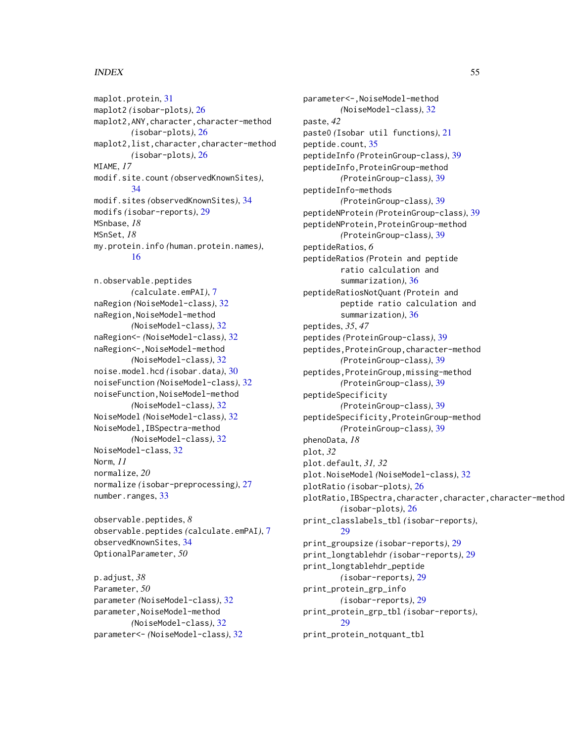#### INDEX 55

maplot.protein, [31](#page-30-0) maplot2 *(*isobar-plots*)*, [26](#page-25-0) maplot2,ANY,character,character-method *(*isobar-plots*)*, [26](#page-25-0) maplot2,list,character,character-method *(*isobar-plots*)*, [26](#page-25-0) MIAME, *17* modif.site.count *(*observedKnownSites*)*, [34](#page-33-0) modif.sites *(*observedKnownSites*)*, [34](#page-33-0) modifs *(*isobar-reports*)*, [29](#page-28-0) MSnbase, *18* MSnSet, *18* my.protein.info *(*human.protein.names*)*, [16](#page-15-0)

n.observable.peptides *(*calculate.emPAI*)*, [7](#page-6-0) naRegion *(*NoiseModel-class*)*, [32](#page-31-0) naRegion,NoiseModel-method *(*NoiseModel-class*)*, [32](#page-31-0) naRegion<- *(*NoiseModel-class*)*, [32](#page-31-0) naRegion<-,NoiseModel-method *(*NoiseModel-class*)*, [32](#page-31-0) noise.model.hcd *(*isobar.data*)*, [30](#page-29-0) noiseFunction *(*NoiseModel-class*)*, [32](#page-31-0) noiseFunction,NoiseModel-method *(*NoiseModel-class*)*, [32](#page-31-0) NoiseModel *(*NoiseModel-class*)*, [32](#page-31-0) NoiseModel,IBSpectra-method *(*NoiseModel-class*)*, [32](#page-31-0) NoiseModel-class, [32](#page-31-0) Norm, *11* normalize, *20* normalize *(*isobar-preprocessing*)*, [27](#page-26-0) number.ranges, [33](#page-32-0)

observable.peptides, *8* observable.peptides *(*calculate.emPAI*)*, [7](#page-6-0) observedKnownSites, [34](#page-33-0) OptionalParameter, *50*

p.adjust, *38* Parameter, *50* parameter *(*NoiseModel-class*)*, [32](#page-31-0) parameter,NoiseModel-method *(*NoiseModel-class*)*, [32](#page-31-0) parameter<- *(*NoiseModel-class*)*, [32](#page-31-0)

parameter<-,NoiseModel-method *(*NoiseModel-class*)*, [32](#page-31-0) paste, *42* paste0 *(*Isobar util functions*)*, [21](#page-20-0) peptide.count, [35](#page-34-0) peptideInfo *(*ProteinGroup-class*)*, [39](#page-38-0) peptideInfo,ProteinGroup-method *(*ProteinGroup-class*)*, [39](#page-38-0) peptideInfo-methods *(*ProteinGroup-class*)*, [39](#page-38-0) peptideNProtein *(*ProteinGroup-class*)*, [39](#page-38-0) peptideNProtein,ProteinGroup-method *(*ProteinGroup-class*)*, [39](#page-38-0) peptideRatios, *6* peptideRatios *(*Protein and peptide ratio calculation and summarization*)*, [36](#page-35-0) peptideRatiosNotQuant *(*Protein and peptide ratio calculation and summarization*)*, [36](#page-35-0) peptides, *35*, *47* peptides *(*ProteinGroup-class*)*, [39](#page-38-0) peptides,ProteinGroup,character-method *(*ProteinGroup-class*)*, [39](#page-38-0) peptides,ProteinGroup,missing-method *(*ProteinGroup-class*)*, [39](#page-38-0) peptideSpecificity *(*ProteinGroup-class*)*, [39](#page-38-0) peptideSpecificity,ProteinGroup-method *(*ProteinGroup-class*)*, [39](#page-38-0) phenoData, *18* plot, *32* plot.default, *31, 32* plot.NoiseModel *(*NoiseModel-class*)*, [32](#page-31-0) plotRatio *(*isobar-plots*)*, [26](#page-25-0) plotRatio,IBSpectra,character,character,character-method *(*isobar-plots*)*, [26](#page-25-0) print\_classlabels\_tbl *(*isobar-reports*)*, [29](#page-28-0) print\_groupsize *(*isobar-reports*)*, [29](#page-28-0) print\_longtablehdr *(*isobar-reports*)*, [29](#page-28-0) print\_longtablehdr\_peptide *(*isobar-reports*)*, [29](#page-28-0) print\_protein\_grp\_info *(*isobar-reports*)*, [29](#page-28-0) print\_protein\_grp\_tbl *(*isobar-reports*)*, [29](#page-28-0) print\_protein\_notquant\_tbl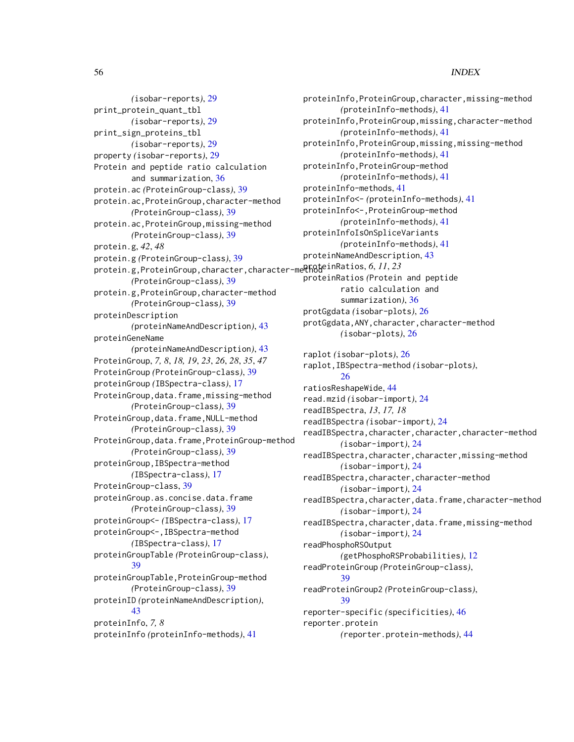#### 56 INDEX

*(*isobar-reports*)*, [29](#page-28-0) print\_protein\_quant\_tbl *(*isobar-reports*)*, [29](#page-28-0) print\_sign\_proteins\_tbl *(*isobar-reports*)*, [29](#page-28-0) property *(*isobar-reports*)*, [29](#page-28-0) Protein and peptide ratio calculation and summarization, [36](#page-35-0) protein.ac *(*ProteinGroup-class*)*, [39](#page-38-0) protein.ac,ProteinGroup,character-method *(*ProteinGroup-class*)*, [39](#page-38-0) protein.ac,ProteinGroup,missing-method *(*ProteinGroup-class*)*, [39](#page-38-0) protein.g, *42*, *48* protein.g *(*ProteinGroup-class*)*, [39](#page-38-0) protein.g,ProteinGroup,character,character-method proteinRatios, *6*, *11*, *23 (*ProteinGroup-class*)*, [39](#page-38-0) protein.g,ProteinGroup,character-method *(*ProteinGroup-class*)*, [39](#page-38-0) proteinDescription *(*proteinNameAndDescription*)*, [43](#page-42-0) proteinGeneName *(*proteinNameAndDescription*)*, [43](#page-42-0) ProteinGroup, *7, 8*, *18, 19*, *23*, *26*, *28*, *35*, *47* ProteinGroup *(*ProteinGroup-class*)*, [39](#page-38-0) proteinGroup *(*IBSpectra-class*)*, [17](#page-16-0) ProteinGroup,data.frame,missing-method *(*ProteinGroup-class*)*, [39](#page-38-0) ProteinGroup,data.frame,NULL-method *(*ProteinGroup-class*)*, [39](#page-38-0) ProteinGroup,data.frame,ProteinGroup-method *(*ProteinGroup-class*)*, [39](#page-38-0) proteinGroup,IBSpectra-method *(*IBSpectra-class*)*, [17](#page-16-0) ProteinGroup-class, [39](#page-38-0) proteinGroup.as.concise.data.frame *(*ProteinGroup-class*)*, [39](#page-38-0) proteinGroup<- *(*IBSpectra-class*)*, [17](#page-16-0) proteinGroup<-,IBSpectra-method *(*IBSpectra-class*)*, [17](#page-16-0) proteinGroupTable *(*ProteinGroup-class*)*, [39](#page-38-0) proteinGroupTable,ProteinGroup-method *(*ProteinGroup-class*)*, [39](#page-38-0) proteinID *(*proteinNameAndDescription*)*, [43](#page-42-0) proteinInfo, *7, 8* proteinInfo *(*proteinInfo-methods*)*, [41](#page-40-0)

proteinInfo,ProteinGroup,character,missing-method *(*proteinInfo-methods*)*, [41](#page-40-0) proteinInfo,ProteinGroup,missing,character-method *(*proteinInfo-methods*)*, [41](#page-40-0) proteinInfo,ProteinGroup,missing,missing-method *(*proteinInfo-methods*)*, [41](#page-40-0) proteinInfo,ProteinGroup-method *(*proteinInfo-methods*)*, [41](#page-40-0) proteinInfo-methods, [41](#page-40-0) proteinInfo<- *(*proteinInfo-methods*)*, [41](#page-40-0) proteinInfo<-,ProteinGroup-method *(*proteinInfo-methods*)*, [41](#page-40-0) proteinInfoIsOnSpliceVariants *(*proteinInfo-methods*)*, [41](#page-40-0) proteinNameAndDescription, [43](#page-42-0) proteinRatios *(*Protein and peptide ratio calculation and summarization*)*, [36](#page-35-0) protGgdata *(*isobar-plots*)*, [26](#page-25-0) protGgdata,ANY,character,character-method *(*isobar-plots*)*, [26](#page-25-0) raplot *(*isobar-plots*)*, [26](#page-25-0) raplot,IBSpectra-method *(*isobar-plots*)*, [26](#page-25-0) ratiosReshapeWide, [44](#page-43-0) read.mzid *(*isobar-import*)*, [24](#page-23-0) readIBSpectra, *13*, *17, 18* readIBSpectra *(*isobar-import*)*, [24](#page-23-0) readIBSpectra,character,character,character-method *(*isobar-import*)*, [24](#page-23-0) readIBSpectra,character,character,missing-method *(*isobar-import*)*, [24](#page-23-0) readIBSpectra,character,character-method *(*isobar-import*)*, [24](#page-23-0) readIBSpectra,character,data.frame,character-method *(*isobar-import*)*, [24](#page-23-0) readIBSpectra,character,data.frame,missing-method *(*isobar-import*)*, [24](#page-23-0) readPhosphoRSOutput *(*getPhosphoRSProbabilities*)*, [12](#page-11-0) readProteinGroup *(*ProteinGroup-class*)*, [39](#page-38-0) readProteinGroup2 *(*ProteinGroup-class*)*, [39](#page-38-0) reporter-specific *(*specificities*)*, [46](#page-45-0) reporter.protein *(*reporter.protein-methods*)*, [44](#page-43-0)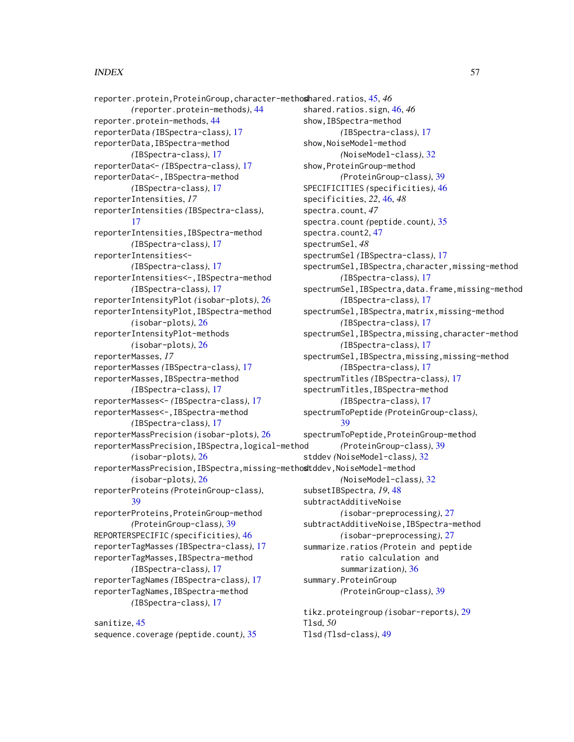#### INDEX 57

reporter.protein,ProteinGroup,character-method shared.ratios, [45,](#page-44-0) *46 (*reporter.protein-methods*)*, [44](#page-43-0) reporter.protein-methods, [44](#page-43-0) reporterData *(*IBSpectra-class*)*, [17](#page-16-0) reporterData,IBSpectra-method *(*IBSpectra-class*)*, [17](#page-16-0) reporterData<- *(*IBSpectra-class*)*, [17](#page-16-0) reporterData<-,IBSpectra-method *(*IBSpectra-class*)*, [17](#page-16-0) reporterIntensities, *17* reporterIntensities *(*IBSpectra-class*)*, [17](#page-16-0) reporterIntensities,IBSpectra-method *(*IBSpectra-class*)*, [17](#page-16-0) reporterIntensities<- *(*IBSpectra-class*)*, [17](#page-16-0) reporterIntensities<-,IBSpectra-method *(*IBSpectra-class*)*, [17](#page-16-0) reporterIntensityPlot *(*isobar-plots*)*, [26](#page-25-0) reporterIntensityPlot,IBSpectra-method *(*isobar-plots*)*, [26](#page-25-0) reporterIntensityPlot-methods *(*isobar-plots*)*, [26](#page-25-0) reporterMasses, *17* reporterMasses *(*IBSpectra-class*)*, [17](#page-16-0) reporterMasses,IBSpectra-method *(*IBSpectra-class*)*, [17](#page-16-0) reporterMasses<- *(*IBSpectra-class*)*, [17](#page-16-0) reporterMasses<-,IBSpectra-method *(*IBSpectra-class*)*, [17](#page-16-0) reporterMassPrecision *(*isobar-plots*)*, [26](#page-25-0) reporterMassPrecision,IBSpectra,logical-method *(*isobar-plots*)*, [26](#page-25-0) reporterMassPrecision, IBSpectra, missing-methostddev, NoiseModel-method *(*isobar-plots*)*, [26](#page-25-0) reporterProteins *(*ProteinGroup-class*)*, [39](#page-38-0) reporterProteins,ProteinGroup-method *(*ProteinGroup-class*)*, [39](#page-38-0) REPORTERSPECIFIC *(*specificities*)*, [46](#page-45-0) reporterTagMasses *(*IBSpectra-class*)*, [17](#page-16-0) reporterTagMasses,IBSpectra-method *(*IBSpectra-class*)*, [17](#page-16-0) reporterTagNames *(*IBSpectra-class*)*, [17](#page-16-0) reporterTagNames,IBSpectra-method *(*IBSpectra-class*)*, [17](#page-16-0)

sanitize, [45](#page-44-0) sequence.coverage *(*peptide.count*)*, [35](#page-34-0) shared.ratios.sign, [46,](#page-45-0) *46* show,IBSpectra-method *(*IBSpectra-class*)*, [17](#page-16-0) show,NoiseModel-method *(*NoiseModel-class*)*, [32](#page-31-0) show,ProteinGroup-method *(*ProteinGroup-class*)*, [39](#page-38-0) SPECIFICITIES *(*specificities*)*, [46](#page-45-0) specificities, *22*, [46,](#page-45-0) *48* spectra.count, *47* spectra.count *(*peptide.count*)*, [35](#page-34-0) spectra.count2, [47](#page-46-0) spectrumSel, *48* spectrumSel *(*IBSpectra-class*)*, [17](#page-16-0) spectrumSel,IBSpectra,character,missing-method *(*IBSpectra-class*)*, [17](#page-16-0) spectrumSel, IBSpectra, data.frame, missing-method *(*IBSpectra-class*)*, [17](#page-16-0) spectrumSel,IBSpectra,matrix,missing-method *(*IBSpectra-class*)*, [17](#page-16-0) spectrumSel,IBSpectra,missing,character-method *(*IBSpectra-class*)*, [17](#page-16-0) spectrumSel,IBSpectra,missing,missing-method *(*IBSpectra-class*)*, [17](#page-16-0) spectrumTitles *(*IBSpectra-class*)*, [17](#page-16-0) spectrumTitles,IBSpectra-method *(*IBSpectra-class*)*, [17](#page-16-0) spectrumToPeptide *(*ProteinGroup-class*)*, [39](#page-38-0) spectrumToPeptide,ProteinGroup-method *(*ProteinGroup-class*)*, [39](#page-38-0) stddev *(*NoiseModel-class*)*, [32](#page-31-0) *(*NoiseModel-class*)*, [32](#page-31-0) subsetIBSpectra, *19*, [48](#page-47-0) subtractAdditiveNoise *(*isobar-preprocessing*)*, [27](#page-26-0) subtractAdditiveNoise,IBSpectra-method *(*isobar-preprocessing*)*, [27](#page-26-0) summarize.ratios *(*Protein and peptide ratio calculation and summarization*)*, [36](#page-35-0) summary.ProteinGroup *(*ProteinGroup-class*)*, [39](#page-38-0) tikz.proteingroup *(*isobar-reports*)*, [29](#page-28-0) Tlsd, *50*

Tlsd *(*Tlsd-class*)*, [49](#page-48-0)